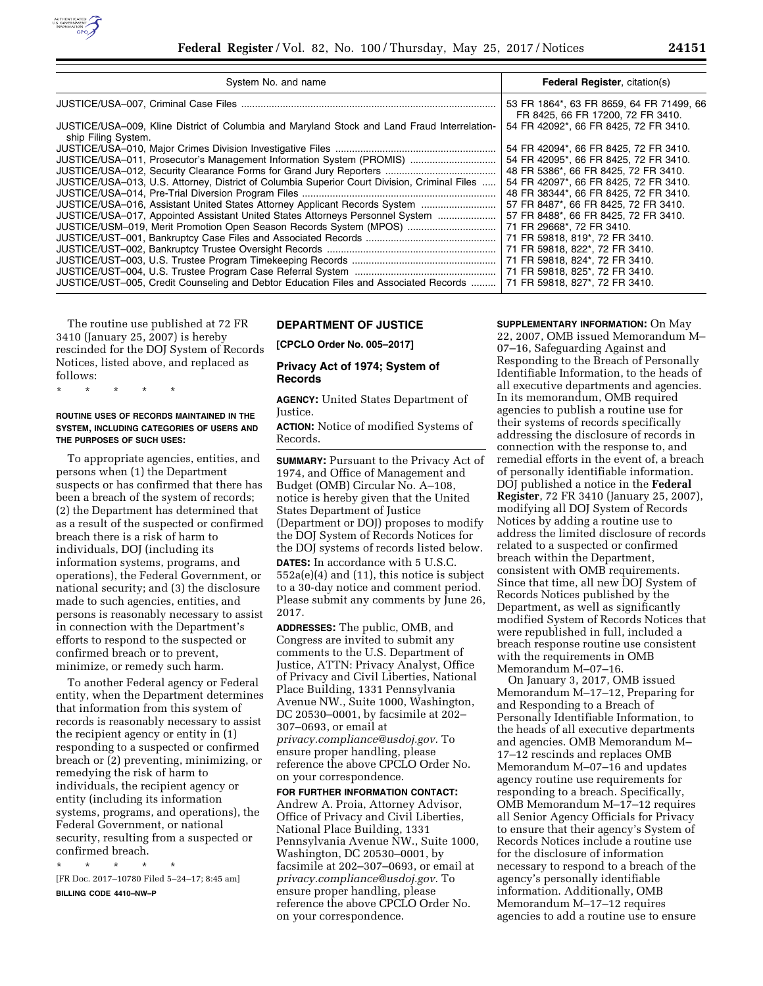

| System No. and name                                                                                                 | Federal Register, citation(s)                                                 |
|---------------------------------------------------------------------------------------------------------------------|-------------------------------------------------------------------------------|
|                                                                                                                     | 53 FR 1864*, 63 FR 8659, 64 FR 71499, 66<br>FR 8425, 66 FR 17200, 72 FR 3410. |
| JUSTICE/USA-009, Kline District of Columbia and Maryland Stock and Land Fraud Interrelation-<br>ship Filing System. | 54 FR 42092*, 66 FR 8425, 72 FR 3410.                                         |
|                                                                                                                     | 54 FR 42094*, 66 FR 8425, 72 FR 3410.                                         |
| JUSTICE/USA-011, Prosecutor's Management Information System (PROMIS)                                                | 54 FR 42095*, 66 FR 8425, 72 FR 3410.                                         |
|                                                                                                                     | 48 FR 5386*, 66 FR 8425, 72 FR 3410.                                          |
| JUSTICE/USA-013, U.S. Attorney, District of Columbia Superior Court Division, Criminal Files                        | 54 FR 42097*, 66 FR 8425, 72 FR 3410.                                         |
|                                                                                                                     | 48 FR 38344*, 66 FR 8425, 72 FR 3410.                                         |
| JUSTICE/USA-016, Assistant United States Attorney Applicant Records System                                          | 57 FR 8487*, 66 FR 8425, 72 FR 3410.                                          |
| JUSTICE/USA-017, Appointed Assistant United States Attorneys Personnel System                                       | 57 FR 8488*, 66 FR 8425, 72 FR 3410.                                          |
| JUSTICE/USM-019, Merit Promotion Open Season Records System (MPOS)                                                  | 71 FR 29668*, 72 FR 3410.                                                     |
|                                                                                                                     | 71 FR 59818, 819*, 72 FR 3410.                                                |
|                                                                                                                     | 71 FR 59818, 822*, 72 FR 3410.                                                |
|                                                                                                                     | 71 FR 59818, 824*, 72 FR 3410.                                                |
|                                                                                                                     | 71 FR 59818, 825*, 72 FR 3410.                                                |
| JUSTICE/UST-005, Credit Counseling and Debtor Education Files and Associated Records                                | 71 FR 59818, 827*, 72 FR 3410.                                                |

The routine use published at 72 FR 3410 (January 25, 2007) is hereby rescinded for the DOJ System of Records Notices, listed above, and replaced as follows:

\* \* \* \* \*

# **ROUTINE USES OF RECORDS MAINTAINED IN THE SYSTEM, INCLUDING CATEGORIES OF USERS AND THE PURPOSES OF SUCH USES:**

To appropriate agencies, entities, and persons when (1) the Department suspects or has confirmed that there has been a breach of the system of records; (2) the Department has determined that as a result of the suspected or confirmed breach there is a risk of harm to individuals, DOJ (including its information systems, programs, and operations), the Federal Government, or national security; and (3) the disclosure made to such agencies, entities, and persons is reasonably necessary to assist in connection with the Department's efforts to respond to the suspected or confirmed breach or to prevent, minimize, or remedy such harm.

To another Federal agency or Federal entity, when the Department determines that information from this system of records is reasonably necessary to assist the recipient agency or entity in (1) responding to a suspected or confirmed breach or (2) preventing, minimizing, or remedying the risk of harm to individuals, the recipient agency or entity (including its information systems, programs, and operations), the Federal Government, or national security, resulting from a suspected or confirmed breach.

\* \* \* \* \* [FR Doc. 2017–10780 Filed 5–24–17; 8:45 am]

**BILLING CODE 4410–NW–P** 

# **DEPARTMENT OF JUSTICE**

**[CPCLO Order No. 005–2017]** 

# **Privacy Act of 1974; System of Records**

**AGENCY:** United States Department of Justice.

**ACTION:** Notice of modified Systems of Records.

**SUMMARY:** Pursuant to the Privacy Act of 1974, and Office of Management and Budget (OMB) Circular No. A–108, notice is hereby given that the United States Department of Justice (Department or DOJ) proposes to modify the DOJ System of Records Notices for the DOJ systems of records listed below.

**DATES:** In accordance with 5 U.S.C. 552a(e)(4) and (11), this notice is subject to a 30-day notice and comment period. Please submit any comments by June 26, 2017.

**ADDRESSES:** The public, OMB, and Congress are invited to submit any comments to the U.S. Department of Justice, ATTN: Privacy Analyst, Office of Privacy and Civil Liberties, National Place Building, 1331 Pennsylvania Avenue NW., Suite 1000, Washington, DC 20530–0001, by facsimile at 202– 307–0693, or email at *[privacy.compliance@usdoj.gov.](mailto:privacy.compliance@usdoj.gov)* To ensure proper handling, please reference the above CPCLO Order No. on your correspondence.

**FOR FURTHER INFORMATION CONTACT:**  Andrew A. Proia, Attorney Advisor, Office of Privacy and Civil Liberties, National Place Building, 1331 Pennsylvania Avenue NW., Suite 1000, Washington, DC 20530–0001, by facsimile at 202–307–0693, or email at *[privacy.compliance@usdoj.gov.](mailto:privacy.compliance@usdoj.gov)* To ensure proper handling, please reference the above CPCLO Order No. on your correspondence.

**SUPPLEMENTARY INFORMATION:** On May 22, 2007, OMB issued Memorandum M– 07–16, Safeguarding Against and Responding to the Breach of Personally Identifiable Information, to the heads of all executive departments and agencies. In its memorandum, OMB required agencies to publish a routine use for their systems of records specifically addressing the disclosure of records in connection with the response to, and remedial efforts in the event of, a breach of personally identifiable information. DOJ published a notice in the **Federal Register**, 72 FR 3410 (January 25, 2007), modifying all DOJ System of Records Notices by adding a routine use to address the limited disclosure of records related to a suspected or confirmed breach within the Department, consistent with OMB requirements. Since that time, all new DOJ System of Records Notices published by the Department, as well as significantly modified System of Records Notices that were republished in full, included a breach response routine use consistent with the requirements in OMB Memorandum M–07–16.

On January 3, 2017, OMB issued Memorandum M–17–12, Preparing for and Responding to a Breach of Personally Identifiable Information, to the heads of all executive departments and agencies. OMB Memorandum M– 17–12 rescinds and replaces OMB Memorandum M–07–16 and updates agency routine use requirements for responding to a breach. Specifically, OMB Memorandum M–17–12 requires all Senior Agency Officials for Privacy to ensure that their agency's System of Records Notices include a routine use for the disclosure of information necessary to respond to a breach of the agency's personally identifiable information. Additionally, OMB Memorandum M–17–12 requires agencies to add a routine use to ensure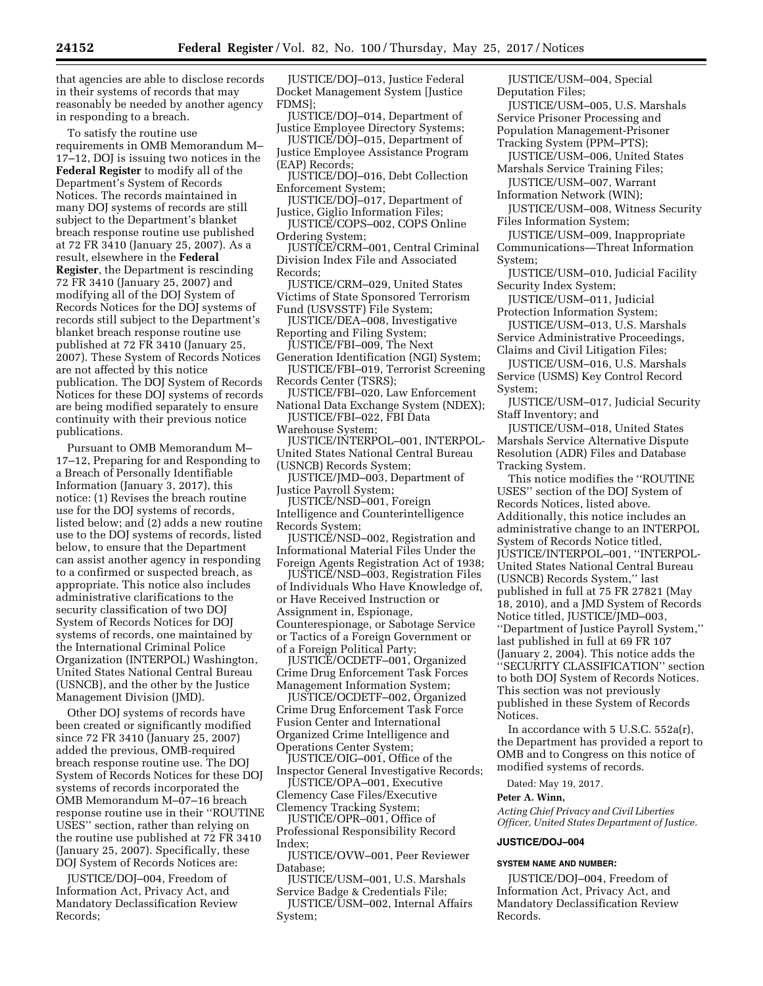that agencies are able to disclose records in their systems of records that may reasonably be needed by another agency in responding to a breach.

To satisfy the routine use requirements in OMB Memorandum M– 17–12, DOJ is issuing two notices in the **Federal Register** to modify all of the Department's System of Records Notices. The records maintained in many DOJ systems of records are still subject to the Department's blanket breach response routine use published at 72 FR 3410 (January 25, 2007). As a result, elsewhere in the **Federal Register**, the Department is rescinding 72 FR 3410 (January 25, 2007) and modifying all of the DOJ System of Records Notices for the DOJ systems of records still subject to the Department's blanket breach response routine use published at 72 FR 3410 (January 25, 2007). These System of Records Notices are not affected by this notice publication. The DOJ System of Records Notices for these DOJ systems of records are being modified separately to ensure continuity with their previous notice publications.

Pursuant to OMB Memorandum M– 17–12, Preparing for and Responding to a Breach of Personally Identifiable Information (January 3, 2017), this notice: (1) Revises the breach routine use for the DOJ systems of records, listed below; and (2) adds a new routine use to the DOJ systems of records, listed below, to ensure that the Department can assist another agency in responding to a confirmed or suspected breach, as appropriate. This notice also includes administrative clarifications to the security classification of two DOJ System of Records Notices for DOJ systems of records, one maintained by the International Criminal Police Organization (INTERPOL) Washington, United States National Central Bureau (USNCB), and the other by the Justice Management Division (JMD).

Other DOJ systems of records have been created or significantly modified since 72 FR 3410 (January 25, 2007) added the previous, OMB-required breach response routine use. The DOJ System of Records Notices for these DOJ systems of records incorporated the OMB Memorandum M–07–16 breach response routine use in their ''ROUTINE USES'' section, rather than relying on the routine use published at 72 FR 3410 (January 25, 2007). Specifically, these DOJ System of Records Notices are:

JUSTICE/DOJ–004, Freedom of Information Act, Privacy Act, and Mandatory Declassification Review Records;

JUSTICE/DOJ–013, Justice Federal Docket Management System [Justice FDMS];

JUSTICE/DOJ–014, Department of Justice Employee Directory Systems;

JUSTICE/DOJ–015, Department of Justice Employee Assistance Program (EAP) Records;

JUSTICE/DOJ–016, Debt Collection Enforcement System;

JUSTICE/DOJ–017, Department of Justice, Giglio Information Files;

JUSTICE/COPS–002, COPS Online Ordering System;

JUSTICE/CRM–001, Central Criminal Division Index File and Associated Records;

JUSTICE/CRM–029, United States Victims of State Sponsored Terrorism Fund (USVSSTF) File System;

JUSTICE/DEA–008, Investigative Reporting and Filing System;

JUSTICE/FBI–009, The Next Generation Identification (NGI) System;

JUSTICE/FBI–019, Terrorist Screening Records Center (TSRS);

JUSTICE/FBI–020, Law Enforcement National Data Exchange System (NDEX);

JUSTICE/FBI–022, FBI Data Warehouse System;

JUSTICE/INTERPOL–001, INTERPOL-United States National Central Bureau

(USNCB) Records System;

JUSTICE/JMD–003, Department of Justice Payroll System;

JUSTICE/NSD–001, Foreign Intelligence and Counterintelligence Records System;

JUSTICE/NSD–002, Registration and Informational Material Files Under the Foreign Agents Registration Act of 1938;

JUSTICE/NSD–003, Registration Files of Individuals Who Have Knowledge of, or Have Received Instruction or Assignment in, Espionage, Counterespionage, or Sabotage Service or Tactics of a Foreign Government or of a Foreign Political Party;

JUSTICE/OCDETF–001, Organized Crime Drug Enforcement Task Forces Management Information System;

JUSTICE/OCDETF–002, Organized Crime Drug Enforcement Task Force Fusion Center and International Organized Crime Intelligence and Operations Center System;

JUSTICE/OIG–001, Office of the Inspector General Investigative Records;

JUSTICE/OPA–001, Executive Clemency Case Files/Executive Clemency Tracking System;

JUSTICE/OPR–001, Office of Professional Responsibility Record Index;

JUSTICE/OVW–001, Peer Reviewer Database;

JUSTICE/USM–001, U.S. Marshals Service Badge & Credentials File;

JUSTICE/USM-002, Internal Affairs System;

JUSTICE/USM–004, Special Deputation Files;

JUSTICE/USM–005, U.S. Marshals Service Prisoner Processing and Population Management-Prisoner Tracking System (PPM–PTS);

JUSTICE/USM–006, United States Marshals Service Training Files;

JUSTICE/USM–007, Warrant Information Network (WIN);

JUSTICE/USM–008, Witness Security Files Information System;

JUSTICE/USM–009, Inappropriate Communications—Threat Information System;

JUSTICE/USM–010, Judicial Facility Security Index System;

JUSTICE/USM–011, Judicial Protection Information System;

JUSTICE/USM–013, U.S. Marshals Service Administrative Proceedings, Claims and Civil Litigation Files;

JUSTICE/USM–016, U.S. Marshals Service (USMS) Key Control Record System;

JUSTICE/USM–017, Judicial Security Staff Inventory; and

JUSTICE/USM–018, United States Marshals Service Alternative Dispute Resolution (ADR) Files and Database Tracking System.

This notice modifies the ''ROUTINE USES'' section of the DOJ System of Records Notices, listed above. Additionally, this notice includes an administrative change to an INTERPOL System of Records Notice titled, JUSTICE/INTERPOL–001, ''INTERPOL-United States National Central Bureau (USNCB) Records System,'' last published in full at 75 FR 27821 (May 18, 2010), and a JMD System of Records Notice titled, JUSTICE/JMD–003, ''Department of Justice Payroll System,'' last published in full at 69 FR 107 (January 2, 2004). This notice adds the ''SECURITY CLASSIFICATION'' section to both DOJ System of Records Notices. This section was not previously published in these System of Records Notices.

In accordance with 5 U.S.C. 552a(r), the Department has provided a report to OMB and to Congress on this notice of modified systems of records.

Dated: May 19, 2017.

#### **Peter A. Winn,**

*Acting Chief Privacy and Civil Liberties Officer, United States Department of Justice.* 

# **JUSTICE/DOJ–004**

#### **SYSTEM NAME AND NUMBER:**

JUSTICE/DOJ–004, Freedom of Information Act, Privacy Act, and Mandatory Declassification Review Records.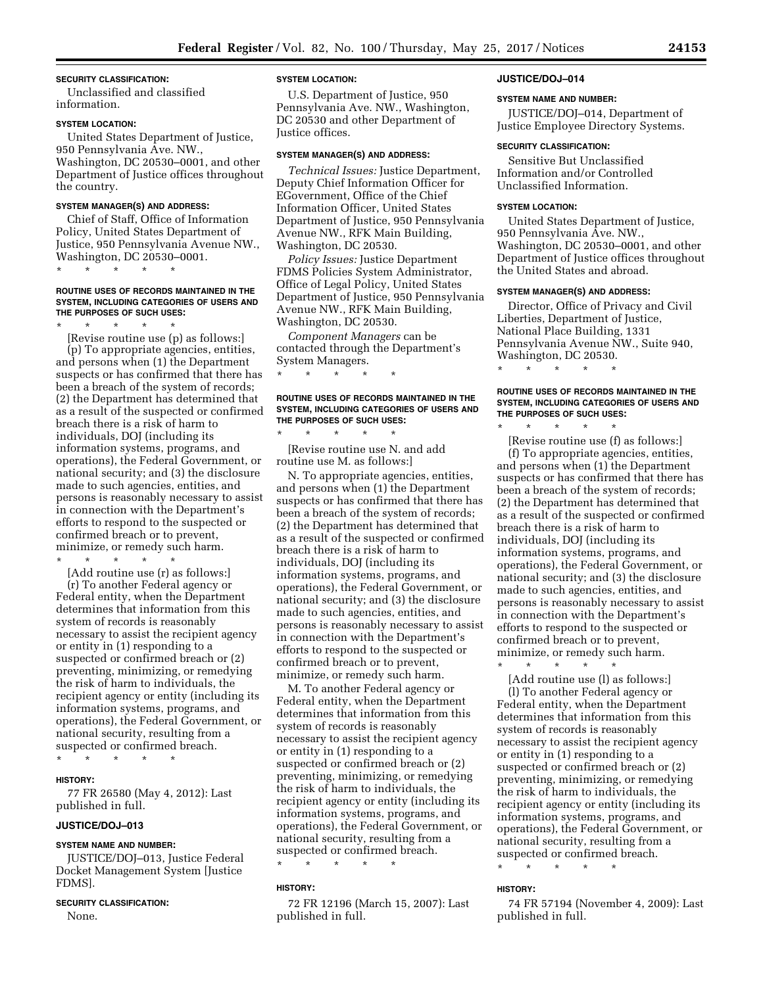### **SECURITY CLASSIFICATION:**

Unclassified and classified information.

#### **SYSTEM LOCATION:**

United States Department of Justice, 950 Pennsylvania Ave. NW., Washington, DC 20530–0001, and other Department of Justice offices throughout the country.

#### **SYSTEM MANAGER(S) AND ADDRESS:**

Chief of Staff, Office of Information Policy, United States Department of Justice, 950 Pennsylvania Avenue NW., Washington, DC 20530–0001.

\* \* \* \* \*

#### **ROUTINE USES OF RECORDS MAINTAINED IN THE SYSTEM, INCLUDING CATEGORIES OF USERS AND THE PURPOSES OF SUCH USES:**

\* \* \* \* \*

[Revise routine use (p) as follows:] (p) To appropriate agencies, entities, and persons when (1) the Department suspects or has confirmed that there has been a breach of the system of records; (2) the Department has determined that as a result of the suspected or confirmed breach there is a risk of harm to individuals, DOJ (including its information systems, programs, and operations), the Federal Government, or national security; and (3) the disclosure made to such agencies, entities, and persons is reasonably necessary to assist in connection with the Department's efforts to respond to the suspected or confirmed breach or to prevent, minimize, or remedy such harm.

\* \* \* \* \* [Add routine use (r) as follows:] (r) To another Federal agency or Federal entity, when the Department determines that information from this system of records is reasonably necessary to assist the recipient agency or entity in (1) responding to a suspected or confirmed breach or (2) preventing, minimizing, or remedying the risk of harm to individuals, the recipient agency or entity (including its information systems, programs, and operations), the Federal Government, or national security, resulting from a suspected or confirmed breach.

\* \* \* \* \*

# **HISTORY:**

77 FR 26580 (May 4, 2012): Last published in full.

# **JUSTICE/DOJ–013**

#### **SYSTEM NAME AND NUMBER:**

JUSTICE/DOJ–013, Justice Federal Docket Management System [Justice FDMS].

#### **SECURITY CLASSIFICATION:**

None.

#### **SYSTEM LOCATION:**

U.S. Department of Justice, 950 Pennsylvania Ave. NW., Washington, DC 20530 and other Department of Justice offices.

#### **SYSTEM MANAGER(S) AND ADDRESS:**

*Technical Issues:* Justice Department, Deputy Chief Information Officer for EGovernment, Office of the Chief Information Officer, United States Department of Justice, 950 Pennsylvania Avenue NW., RFK Main Building, Washington, DC 20530.

*Policy Issues:* Justice Department FDMS Policies System Administrator, Office of Legal Policy, United States Department of Justice, 950 Pennsylvania Avenue NW., RFK Main Building, Washington, DC 20530.

*Component Managers* can be contacted through the Department's System Managers.

\* \* \* \* \*

\* \* \* \* \*

# **ROUTINE USES OF RECORDS MAINTAINED IN THE SYSTEM, INCLUDING CATEGORIES OF USERS AND THE PURPOSES OF SUCH USES:**

[Revise routine use N. and add routine use M. as follows:]

N. To appropriate agencies, entities, and persons when (1) the Department suspects or has confirmed that there has been a breach of the system of records; (2) the Department has determined that as a result of the suspected or confirmed breach there is a risk of harm to individuals, DOJ (including its information systems, programs, and operations), the Federal Government, or national security; and (3) the disclosure made to such agencies, entities, and persons is reasonably necessary to assist in connection with the Department's efforts to respond to the suspected or confirmed breach or to prevent, minimize, or remedy such harm.

M. To another Federal agency or Federal entity, when the Department determines that information from this system of records is reasonably necessary to assist the recipient agency or entity in (1) responding to a suspected or confirmed breach or (2) preventing, minimizing, or remedying the risk of harm to individuals, the recipient agency or entity (including its information systems, programs, and operations), the Federal Government, or national security, resulting from a suspected or confirmed breach.

# **HISTORY:**

72 FR 12196 (March 15, 2007): Last published in full.

\* \* \* \* \*

#### **JUSTICE/DOJ–014**

#### **SYSTEM NAME AND NUMBER:**

JUSTICE/DOJ–014, Department of Justice Employee Directory Systems.

#### **SECURITY CLASSIFICATION:**

Sensitive But Unclassified Information and/or Controlled Unclassified Information.

### **SYSTEM LOCATION:**

United States Department of Justice, 950 Pennsylvania Ave. NW., Washington, DC 20530–0001, and other Department of Justice offices throughout the United States and abroad.

#### **SYSTEM MANAGER(S) AND ADDRESS:**

\* \* \* \* \*

\* \* \* \* \*

Director, Office of Privacy and Civil Liberties, Department of Justice, National Place Building, 1331 Pennsylvania Avenue NW., Suite 940, Washington, DC 20530.

**ROUTINE USES OF RECORDS MAINTAINED IN THE SYSTEM, INCLUDING CATEGORIES OF USERS AND THE PURPOSES OF SUCH USES:** 

[Revise routine use (f) as follows:] (f) To appropriate agencies, entities, and persons when (1) the Department suspects or has confirmed that there has been a breach of the system of records; (2) the Department has determined that as a result of the suspected or confirmed breach there is a risk of harm to individuals, DOJ (including its information systems, programs, and operations), the Federal Government, or national security; and (3) the disclosure made to such agencies, entities, and persons is reasonably necessary to assist in connection with the Department's efforts to respond to the suspected or confirmed breach or to prevent, minimize, or remedy such harm.

\* \* \* \* \* [Add routine use (l) as follows:] (l) To another Federal agency or Federal entity, when the Department determines that information from this system of records is reasonably necessary to assist the recipient agency or entity in (1) responding to a suspected or confirmed breach or (2) preventing, minimizing, or remedying the risk of harm to individuals, the recipient agency or entity (including its information systems, programs, and operations), the Federal Government, or national security, resulting from a suspected or confirmed breach.

\* \* \* \* \*

#### **HISTORY:**

74 FR 57194 (November 4, 2009): Last published in full.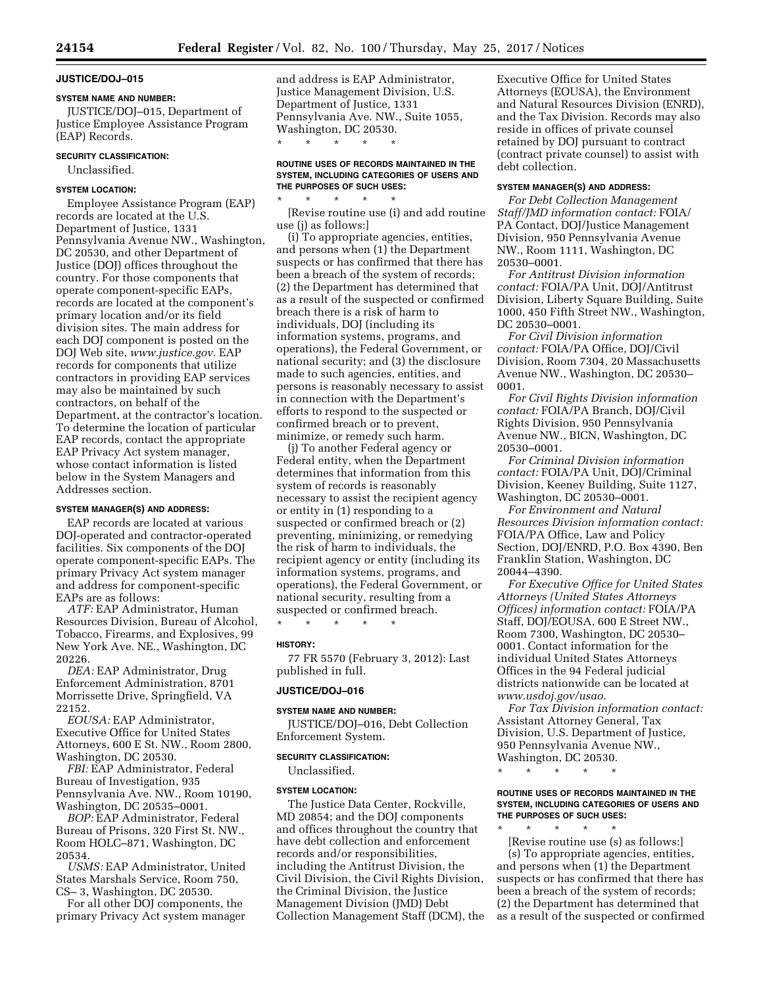# **JUSTICE/DOJ–015**

# **SYSTEM NAME AND NUMBER:**

JUSTICE/DOJ–015, Department of Justice Employee Assistance Program (EAP) Records.

# **SECURITY CLASSIFICATION:**

Unclassified.

# **SYSTEM LOCATION:**

Employee Assistance Program (EAP) records are located at the U.S. Department of Justice, 1331 Pennsylvania Avenue NW., Washington, DC 20530, and other Department of Justice (DOJ) offices throughout the country. For those components that operate component-specific EAPs, records are located at the component's primary location and/or its field division sites. The main address for each DOJ component is posted on the DOJ Web site, *[www.justice.gov.](http://www.justice.gov)* EAP records for components that utilize contractors in providing EAP services may also be maintained by such contractors, on behalf of the Department, at the contractor's location. To determine the location of particular EAP records, contact the appropriate EAP Privacy Act system manager, whose contact information is listed below in the System Managers and Addresses section.

# **SYSTEM MANAGER(S) AND ADDRESS:**

EAP records are located at various DOJ-operated and contractor-operated facilities. Six components of the DOJ operate component-specific EAPs. The primary Privacy Act system manager and address for component-specific EAPs are as follows:

*ATF:* EAP Administrator, Human Resources Division, Bureau of Alcohol, Tobacco, Firearms, and Explosives, 99 New York Ave. NE., Washington, DC 20226.

*DEA:* EAP Administrator, Drug Enforcement Administration, 8701 Morrissette Drive, Springfield, VA 22152.

*EOUSA:* EAP Administrator, Executive Office for United States Attorneys, 600 E St. NW., Room 2800, Washington, DC 20530.

*FBI:* EAP Administrator, Federal Bureau of Investigation, 935 Pennsylvania Ave. NW., Room 10190, Washington, DC 20535–0001.

*BOP:* EAP Administrator, Federal Bureau of Prisons, 320 First St. NW., Room HOLC–871, Washington, DC 20534.

*USMS:* EAP Administrator, United States Marshals Service, Room 750, CS– 3, Washington, DC 20530.

For all other DOJ components, the primary Privacy Act system manager and address is EAP Administrator, Justice Management Division, U.S. Department of Justice, 1331 Pennsylvania Ave. NW., Suite 1055, Washington, DC 20530.

\* \* \* \* \*

### **ROUTINE USES OF RECORDS MAINTAINED IN THE SYSTEM, INCLUDING CATEGORIES OF USERS AND THE PURPOSES OF SUCH USES:**

\* \* \* \* \* [Revise routine use (i) and add routine use (j) as follows:]

(i) To appropriate agencies, entities, and persons when (1) the Department suspects or has confirmed that there has been a breach of the system of records; (2) the Department has determined that as a result of the suspected or confirmed breach there is a risk of harm to individuals, DOJ (including its information systems, programs, and operations), the Federal Government, or national security; and (3) the disclosure made to such agencies, entities, and persons is reasonably necessary to assist in connection with the Department's efforts to respond to the suspected or confirmed breach or to prevent, minimize, or remedy such harm.

(j) To another Federal agency or Federal entity, when the Department determines that information from this system of records is reasonably necessary to assist the recipient agency or entity in (1) responding to a suspected or confirmed breach or (2) preventing, minimizing, or remedying the risk of harm to individuals, the recipient agency or entity (including its information systems, programs, and operations), the Federal Government, or national security, resulting from a suspected or confirmed breach.

\* \* \* \* \*

#### **HISTORY:**

77 FR 5570 (February 3, 2012): Last published in full.

# **JUSTICE/DOJ–016**

#### **SYSTEM NAME AND NUMBER:**

JUSTICE/DOJ–016, Debt Collection Enforcement System.

#### **SECURITY CLASSIFICATION:**

Unclassified.

#### **SYSTEM LOCATION:**

The Justice Data Center, Rockville, MD 20854; and the DOJ components and offices throughout the country that have debt collection and enforcement records and/or responsibilities, including the Antitrust Division, the Civil Division, the Civil Rights Division, the Criminal Division, the Justice Management Division (JMD) Debt Collection Management Staff (DCM), the Executive Office for United States Attorneys (EOUSA), the Environment and Natural Resources Division (ENRD), and the Tax Division. Records may also reside in offices of private counsel retained by DOJ pursuant to contract (contract private counsel) to assist with debt collection.

#### **SYSTEM MANAGER(S) AND ADDRESS:**

*For Debt Collection Management Staff/JMD information contact:* FOIA/ PA Contact, DOJ/Justice Management Division, 950 Pennsylvania Avenue NW., Room 1111, Washington, DC 20530–0001.

*For Antitrust Division information contact:* FOIA/PA Unit, DOJ/Antitrust Division, Liberty Square Building, Suite 1000, 450 Fifth Street NW., Washington, DC 20530–0001.

*For Civil Division information contact:* FOIA/PA Office, DOJ/Civil Division, Room 7304, 20 Massachusetts Avenue NW., Washington, DC 20530– 0001.

*For Civil Rights Division information contact:* FOIA/PA Branch, DOJ/Civil Rights Division, 950 Pennsylvania Avenue NW., BICN, Washington, DC 20530–0001.

*For Criminal Division information contact:* FOIA/PA Unit, DOJ/Criminal Division, Keeney Building, Suite 1127, Washington, DC 20530–0001.

*For Environment and Natural Resources Division information contact:*  FOIA/PA Office, Law and Policy Section, DOJ/ENRD, P.O. Box 4390, Ben Franklin Station, Washington, DC 20044–4390.

*For Executive Office for United States Attorneys (United States Attorneys Offices) information contact:* FOIA/PA Staff, DOJ/EOUSA, 600 E Street NW., Room 7300, Washington, DC 20530– 0001. Contact information for the individual United States Attorneys Offices in the 94 Federal judicial districts nationwide can be located at *[www.usdoj.gov/usao.](http://www.usdoj.gov/usao)* 

*For Tax Division information contact:*  Assistant Attorney General, Tax Division, U.S. Department of Justice, 950 Pennsylvania Avenue NW., Washington, DC 20530.

\* \* \* \* \*

# **ROUTINE USES OF RECORDS MAINTAINED IN THE SYSTEM, INCLUDING CATEGORIES OF USERS AND THE PURPOSES OF SUCH USES:**

\* \* \* \* \* [Revise routine use (s) as follows:] (s) To appropriate agencies, entities, and persons when (1) the Department suspects or has confirmed that there has been a breach of the system of records; (2) the Department has determined that as a result of the suspected or confirmed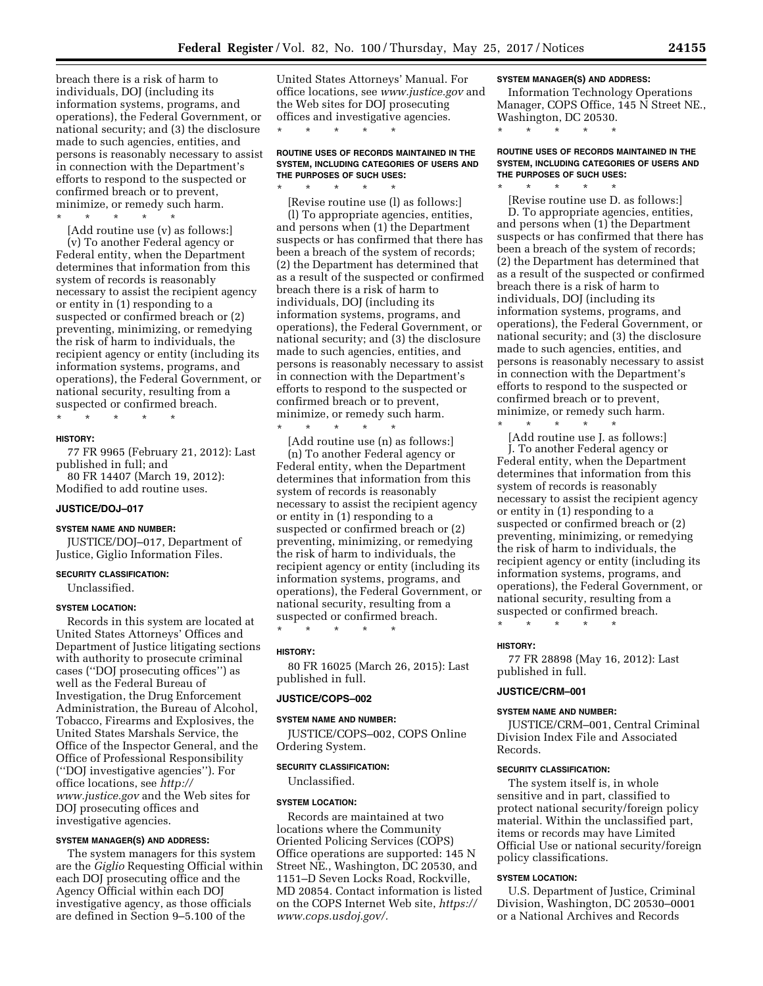breach there is a risk of harm to individuals, DOJ (including its information systems, programs, and operations), the Federal Government, or national security; and (3) the disclosure made to such agencies, entities, and persons is reasonably necessary to assist in connection with the Department's efforts to respond to the suspected or confirmed breach or to prevent, minimize, or remedy such harm.

\* \* \* \* \* [Add routine use (v) as follows:]

(v) To another Federal agency or Federal entity, when the Department determines that information from this system of records is reasonably necessary to assist the recipient agency or entity in (1) responding to a suspected or confirmed breach or (2) preventing, minimizing, or remedying the risk of harm to individuals, the recipient agency or entity (including its information systems, programs, and operations), the Federal Government, or national security, resulting from a suspected or confirmed breach.

\* \* \* \* \*

# **HISTORY:**

77 FR 9965 (February 21, 2012): Last published in full; and 80 FR 14407 (March 19, 2012):

Modified to add routine uses.

# **JUSTICE/DOJ–017**

#### **SYSTEM NAME AND NUMBER:**

JUSTICE/DOJ–017, Department of Justice, Giglio Information Files.

# **SECURITY CLASSIFICATION:**

Unclassified.

#### **SYSTEM LOCATION:**

Records in this system are located at United States Attorneys' Offices and Department of Justice litigating sections with authority to prosecute criminal cases (''DOJ prosecuting offices'') as well as the Federal Bureau of Investigation, the Drug Enforcement Administration, the Bureau of Alcohol, Tobacco, Firearms and Explosives, the United States Marshals Service, the Office of the Inspector General, and the Office of Professional Responsibility (''DOJ investigative agencies''). For office locations, see *[http://](http://www.justice.gov)  [www.justice.gov](http://www.justice.gov)* and the Web sites for DOJ prosecuting offices and investigative agencies.

#### **SYSTEM MANAGER(S) AND ADDRESS:**

The system managers for this system are the *Giglio* Requesting Official within each DOJ prosecuting office and the Agency Official within each DOJ investigative agency, as those officials are defined in Section 9–5.100 of the

United States Attorneys' Manual. For office locations, see *[www.justice.gov](http://www.justice.gov)* and the Web sites for DOJ prosecuting offices and investigative agencies. \* \* \* \* \*

#### **ROUTINE USES OF RECORDS MAINTAINED IN THE SYSTEM, INCLUDING CATEGORIES OF USERS AND THE PURPOSES OF SUCH USES:**  \* \* \* \* \*

[Revise routine use (l) as follows:] (l) To appropriate agencies, entities, and persons when (1) the Department suspects or has confirmed that there has been a breach of the system of records; (2) the Department has determined that as a result of the suspected or confirmed breach there is a risk of harm to individuals, DOJ (including its information systems, programs, and operations), the Federal Government, or national security; and (3) the disclosure made to such agencies, entities, and persons is reasonably necessary to assist in connection with the Department's efforts to respond to the suspected or confirmed breach or to prevent, minimize, or remedy such harm.

[Add routine use (n) as follows:] (n) To another Federal agency or Federal entity, when the Department determines that information from this system of records is reasonably necessary to assist the recipient agency or entity in (1) responding to a suspected or confirmed breach or (2) preventing, minimizing, or remedying the risk of harm to individuals, the recipient agency or entity (including its information systems, programs, and operations), the Federal Government, or national security, resulting from a suspected or confirmed breach.

\* \* \* \* \*

\* \* \* \* \*

#### **HISTORY:**

80 FR 16025 (March 26, 2015): Last published in full.

# **JUSTICE/COPS–002**

**SYSTEM NAME AND NUMBER:**  JUSTICE/COPS–002, COPS Online Ordering System.

# **SECURITY CLASSIFICATION:**

Unclassified.

#### **SYSTEM LOCATION:**

Records are maintained at two locations where the Community Oriented Policing Services (COPS) Office operations are supported: 145 N Street NE., Washington, DC 20530, and 1151–D Seven Locks Road, Rockville, MD 20854. Contact information is listed on the COPS Internet Web site, *[https://](https://www.cops.usdoj.gov/)  [www.cops.usdoj.gov/.](https://www.cops.usdoj.gov/)* 

# **SYSTEM MANAGER(S) AND ADDRESS:**

Information Technology Operations Manager, COPS Office, 145 N Street NE., Washington, DC 20530.

\* \* \* \* \*

\* \* \* \* \*

# **ROUTINE USES OF RECORDS MAINTAINED IN THE SYSTEM, INCLUDING CATEGORIES OF USERS AND THE PURPOSES OF SUCH USES:**

[Revise routine use D. as follows:] D. To appropriate agencies, entities, and persons when (1) the Department suspects or has confirmed that there has been a breach of the system of records; (2) the Department has determined that as a result of the suspected or confirmed breach there is a risk of harm to individuals, DOJ (including its information systems, programs, and operations), the Federal Government, or national security; and (3) the disclosure made to such agencies, entities, and persons is reasonably necessary to assist in connection with the Department's efforts to respond to the suspected or confirmed breach or to prevent, minimize, or remedy such harm.

\* \* \* \* \* [Add routine use J. as follows:] J. To another Federal agency or Federal entity, when the Department determines that information from this system of records is reasonably necessary to assist the recipient agency or entity in (1) responding to a suspected or confirmed breach or (2) preventing, minimizing, or remedying the risk of harm to individuals, the recipient agency or entity (including its information systems, programs, and operations), the Federal Government, or national security, resulting from a suspected or confirmed breach.

\* \* \* \* \*

#### **HISTORY:**

77 FR 28898 (May 16, 2012): Last published in full.

### **JUSTICE/CRM–001**

### **SYSTEM NAME AND NUMBER:**

JUSTICE/CRM–001, Central Criminal Division Index File and Associated Records.

# **SECURITY CLASSIFICATION:**

The system itself is, in whole sensitive and in part, classified to protect national security/foreign policy material. Within the unclassified part, items or records may have Limited Official Use or national security/foreign policy classifications.

# **SYSTEM LOCATION:**

U.S. Department of Justice, Criminal Division, Washington, DC 20530–0001 or a National Archives and Records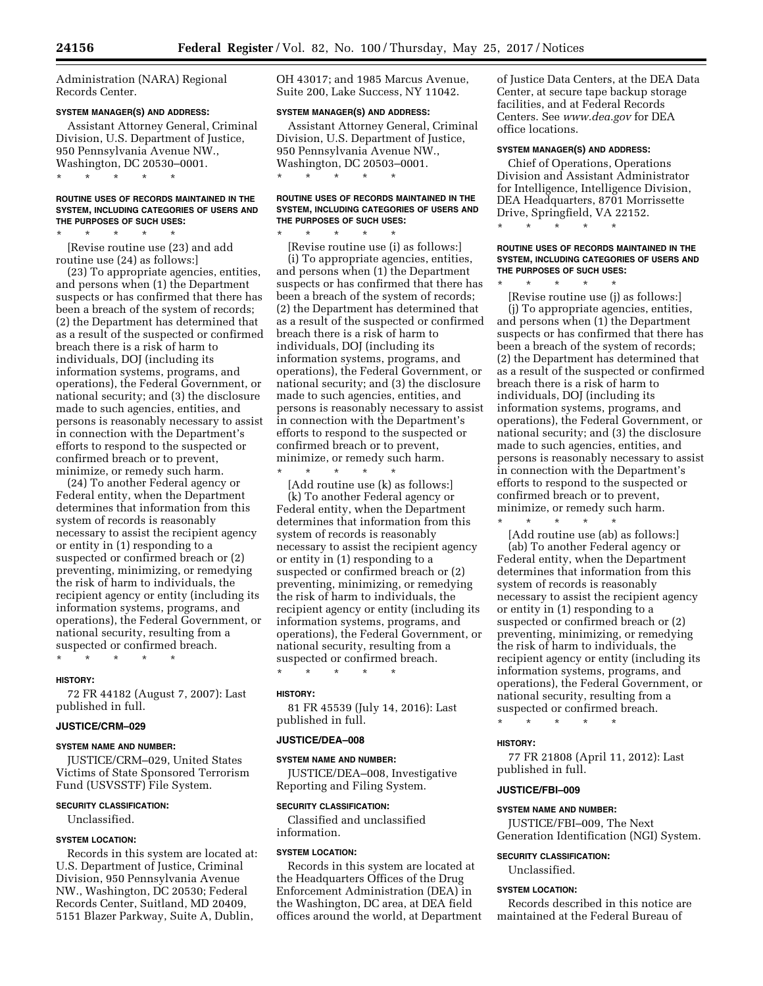Administration (NARA) Regional Records Center.

# **SYSTEM MANAGER(S) AND ADDRESS:**

Assistant Attorney General, Criminal Division, U.S. Department of Justice, 950 Pennsylvania Avenue NW., Washington, DC 20530–0001. \* \* \* \* \*

# **ROUTINE USES OF RECORDS MAINTAINED IN THE SYSTEM, INCLUDING CATEGORIES OF USERS AND THE PURPOSES OF SUCH USES:**

\* \* \* \* \* [Revise routine use (23) and add routine use (24) as follows:]

(23) To appropriate agencies, entities, and persons when (1) the Department suspects or has confirmed that there has been a breach of the system of records; (2) the Department has determined that as a result of the suspected or confirmed breach there is a risk of harm to individuals, DOJ (including its information systems, programs, and operations), the Federal Government, or national security; and (3) the disclosure made to such agencies, entities, and persons is reasonably necessary to assist in connection with the Department's efforts to respond to the suspected or confirmed breach or to prevent, minimize, or remedy such harm.

(24) To another Federal agency or Federal entity, when the Department determines that information from this system of records is reasonably necessary to assist the recipient agency or entity in (1) responding to a suspected or confirmed breach or (2) preventing, minimizing, or remedying the risk of harm to individuals, the recipient agency or entity (including its information systems, programs, and operations), the Federal Government, or national security, resulting from a suspected or confirmed breach.

#### **HISTORY:**

72 FR 44182 (August 7, 2007): Last published in full.

#### **JUSTICE/CRM–029**

#### **SYSTEM NAME AND NUMBER:**

\* \* \* \* \*

JUSTICE/CRM–029, United States Victims of State Sponsored Terrorism Fund (USVSSTF) File System.

#### **SECURITY CLASSIFICATION:**

Unclassified.

# **SYSTEM LOCATION:**

Records in this system are located at: U.S. Department of Justice, Criminal Division, 950 Pennsylvania Avenue NW., Washington, DC 20530; Federal Records Center, Suitland, MD 20409, 5151 Blazer Parkway, Suite A, Dublin,

OH 43017; and 1985 Marcus Avenue, Suite 200, Lake Success, NY 11042.

# **SYSTEM MANAGER(S) AND ADDRESS:**

Assistant Attorney General, Criminal Division, U.S. Department of Justice, 950 Pennsylvania Avenue NW., Washington, DC 20503–0001. \* \* \* \* \*

### **ROUTINE USES OF RECORDS MAINTAINED IN THE SYSTEM, INCLUDING CATEGORIES OF USERS AND THE PURPOSES OF SUCH USES:**

\* \* \* \* \*

[Revise routine use (i) as follows:] (i) To appropriate agencies, entities, and persons when (1) the Department suspects or has confirmed that there has been a breach of the system of records; (2) the Department has determined that as a result of the suspected or confirmed breach there is a risk of harm to individuals, DOJ (including its information systems, programs, and operations), the Federal Government, or national security; and (3) the disclosure made to such agencies, entities, and persons is reasonably necessary to assist in connection with the Department's efforts to respond to the suspected or confirmed breach or to prevent, minimize, or remedy such harm.

\* \* \* \* \*

[Add routine use (k) as follows:] (k) To another Federal agency or Federal entity, when the Department determines that information from this system of records is reasonably necessary to assist the recipient agency or entity in (1) responding to a suspected or confirmed breach or (2) preventing, minimizing, or remedying the risk of harm to individuals, the recipient agency or entity (including its information systems, programs, and operations), the Federal Government, or national security, resulting from a suspected or confirmed breach.

\* \* \* \* \*

#### **HISTORY:**

81 FR 45539 (July 14, 2016): Last published in full.

#### **JUSTICE/DEA–008**

**SYSTEM NAME AND NUMBER:**  JUSTICE/DEA–008, Investigative Reporting and Filing System.

#### **SECURITY CLASSIFICATION:**

Classified and unclassified information.

#### **SYSTEM LOCATION:**

Records in this system are located at the Headquarters Offices of the Drug Enforcement Administration (DEA) in the Washington, DC area, at DEA field offices around the world, at Department of Justice Data Centers, at the DEA Data Center, at secure tape backup storage facilities, and at Federal Records Centers. See *[www.dea.gov](http://www.dea.gov)* for DEA office locations.

# **SYSTEM MANAGER(S) AND ADDRESS:**

Chief of Operations, Operations Division and Assistant Administrator for Intelligence, Intelligence Division, DEA Headquarters, 8701 Morrissette Drive, Springfield, VA 22152.

\* \* \* \* \*

#### **ROUTINE USES OF RECORDS MAINTAINED IN THE SYSTEM, INCLUDING CATEGORIES OF USERS AND THE PURPOSES OF SUCH USES:**

\* \* \* \* \*

[Revise routine use (j) as follows:] (j) To appropriate agencies, entities, and persons when (1) the Department suspects or has confirmed that there has been a breach of the system of records; (2) the Department has determined that as a result of the suspected or confirmed breach there is a risk of harm to individuals, DOJ (including its information systems, programs, and operations), the Federal Government, or national security; and (3) the disclosure made to such agencies, entities, and persons is reasonably necessary to assist in connection with the Department's efforts to respond to the suspected or confirmed breach or to prevent, minimize, or remedy such harm.

\* \* \* \* \* [Add routine use (ab) as follows:] (ab) To another Federal agency or Federal entity, when the Department determines that information from this system of records is reasonably necessary to assist the recipient agency or entity in (1) responding to a suspected or confirmed breach or (2) preventing, minimizing, or remedying the risk of harm to individuals, the recipient agency or entity (including its information systems, programs, and operations), the Federal Government, or national security, resulting from a suspected or confirmed breach.

\* \* \* \* \*

#### **HISTORY:**

77 FR 21808 (April 11, 2012): Last published in full.

#### **JUSTICE/FBI–009**

#### **SYSTEM NAME AND NUMBER:**

JUSTICE/FBI–009, The Next Generation Identification (NGI) System.

# **SECURITY CLASSIFICATION:**

Unclassified.

### **SYSTEM LOCATION:**

Records described in this notice are maintained at the Federal Bureau of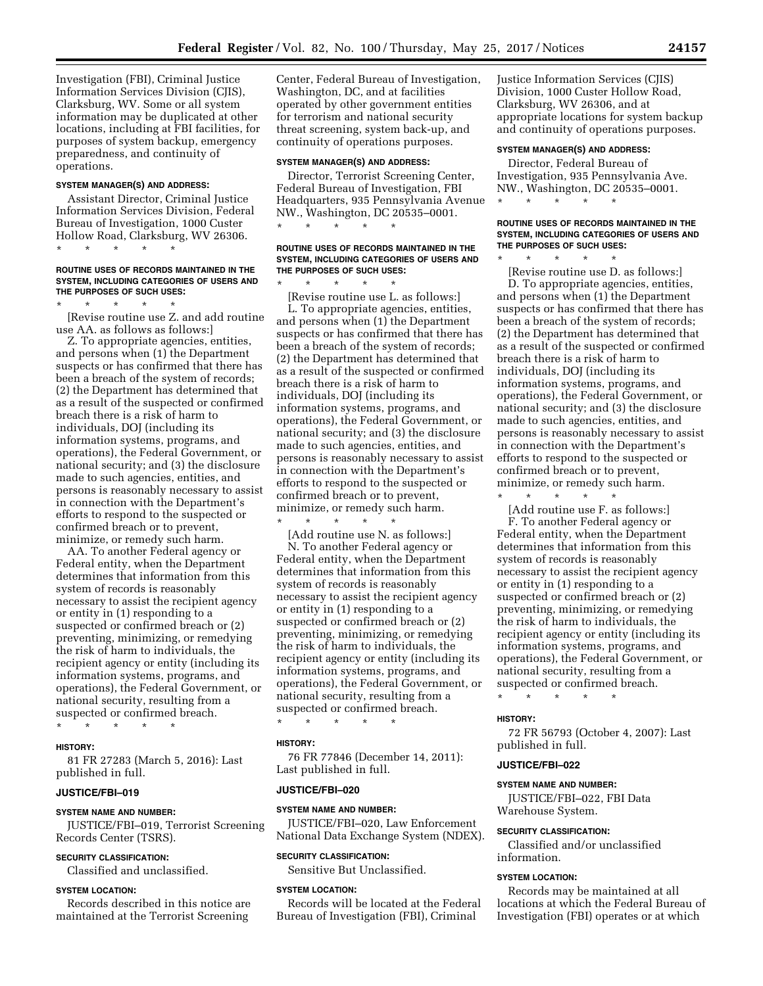Investigation (FBI), Criminal Justice Information Services Division (CJIS), Clarksburg, WV. Some or all system information may be duplicated at other locations, including at FBI facilities, for purposes of system backup, emergency preparedness, and continuity of operations.

### **SYSTEM MANAGER(S) AND ADDRESS:**

\* \* \* \* \*

Assistant Director, Criminal Justice Information Services Division, Federal Bureau of Investigation, 1000 Custer Hollow Road, Clarksburg, WV 26306.

**ROUTINE USES OF RECORDS MAINTAINED IN THE SYSTEM, INCLUDING CATEGORIES OF USERS AND THE PURPOSES OF SUCH USES:** 

\* \* \* \* \* [Revise routine use Z. and add routine use AA. as follows as follows:]

Z. To appropriate agencies, entities, and persons when (1) the Department suspects or has confirmed that there has been a breach of the system of records; (2) the Department has determined that as a result of the suspected or confirmed breach there is a risk of harm to individuals, DOJ (including its information systems, programs, and operations), the Federal Government, or national security; and (3) the disclosure made to such agencies, entities, and persons is reasonably necessary to assist in connection with the Department's efforts to respond to the suspected or confirmed breach or to prevent, minimize, or remedy such harm.

AA. To another Federal agency or Federal entity, when the Department determines that information from this system of records is reasonably necessary to assist the recipient agency or entity in (1) responding to a suspected or confirmed breach or (2) preventing, minimizing, or remedying the risk of harm to individuals, the recipient agency or entity (including its information systems, programs, and operations), the Federal Government, or national security, resulting from a suspected or confirmed breach.

\* \* \* \* \*

#### **HISTORY:**

81 FR 27283 (March 5, 2016): Last published in full.

# **JUSTICE/FBI–019**

#### **SYSTEM NAME AND NUMBER:**

JUSTICE/FBI–019, Terrorist Screening Records Center (TSRS).

# **SECURITY CLASSIFICATION:**

Classified and unclassified.

# **SYSTEM LOCATION:**

Records described in this notice are maintained at the Terrorist Screening

Center, Federal Bureau of Investigation, Washington, DC, and at facilities operated by other government entities for terrorism and national security threat screening, system back-up, and continuity of operations purposes.

# **SYSTEM MANAGER(S) AND ADDRESS:**

Director, Terrorist Screening Center, Federal Bureau of Investigation, FBI Headquarters, 935 Pennsylvania Avenue NW., Washington, DC 20535–0001. \* \* \* \* \*

#### **ROUTINE USES OF RECORDS MAINTAINED IN THE SYSTEM, INCLUDING CATEGORIES OF USERS AND THE PURPOSES OF SUCH USES:**

\* \* \* \* \* [Revise routine use L. as follows:] L. To appropriate agencies, entities, and persons when (1) the Department suspects or has confirmed that there has been a breach of the system of records; (2) the Department has determined that as a result of the suspected or confirmed breach there is a risk of harm to individuals, DOJ (including its information systems, programs, and operations), the Federal Government, or national security; and (3) the disclosure made to such agencies, entities, and persons is reasonably necessary to assist in connection with the Department's efforts to respond to the suspected or confirmed breach or to prevent, minimize, or remedy such harm.

\* \* \* \* \* [Add routine use N. as follows:] N. To another Federal agency or Federal entity, when the Department determines that information from this system of records is reasonably necessary to assist the recipient agency or entity in (1) responding to a suspected or confirmed breach or (2) preventing, minimizing, or remedying the risk of harm to individuals, the recipient agency or entity (including its information systems, programs, and operations), the Federal Government, or national security, resulting from a

suspected or confirmed breach. \* \* \* \* \*

#### **HISTORY:**

76 FR 77846 (December 14, 2011): Last published in full.

#### **JUSTICE/FBI–020**

#### **SYSTEM NAME AND NUMBER:**

JUSTICE/FBI–020, Law Enforcement National Data Exchange System (NDEX).

# **SECURITY CLASSIFICATION:**

Sensitive But Unclassified.

### **SYSTEM LOCATION:**

Records will be located at the Federal Bureau of Investigation (FBI), Criminal

Justice Information Services (CJIS) Division, 1000 Custer Hollow Road, Clarksburg, WV 26306, and at appropriate locations for system backup and continuity of operations purposes.

# **SYSTEM MANAGER(S) AND ADDRESS:**

Director, Federal Bureau of Investigation, 935 Pennsylvania Ave. NW., Washington, DC 20535–0001. \* \* \* \* \*

### **ROUTINE USES OF RECORDS MAINTAINED IN THE SYSTEM, INCLUDING CATEGORIES OF USERS AND THE PURPOSES OF SUCH USES:**

\* \* \* \* \* [Revise routine use D. as follows:] D. To appropriate agencies, entities, and persons when (1) the Department suspects or has confirmed that there has been a breach of the system of records; (2) the Department has determined that as a result of the suspected or confirmed breach there is a risk of harm to individuals, DOJ (including its information systems, programs, and operations), the Federal Government, or national security; and (3) the disclosure made to such agencies, entities, and persons is reasonably necessary to assist in connection with the Department's efforts to respond to the suspected or confirmed breach or to prevent, minimize, or remedy such harm.

[Add routine use F. as follows:] F. To another Federal agency or Federal entity, when the Department determines that information from this system of records is reasonably necessary to assist the recipient agency or entity in (1) responding to a suspected or confirmed breach or (2) preventing, minimizing, or remedying the risk of harm to individuals, the recipient agency or entity (including its information systems, programs, and operations), the Federal Government, or national security, resulting from a suspected or confirmed breach.

\* \* \* \* \*

\* \* \* \* \*

#### **HISTORY:**

72 FR 56793 (October 4, 2007): Last published in full.

### **JUSTICE/FBI–022**

#### **SYSTEM NAME AND NUMBER:**

JUSTICE/FBI–022, FBI Data Warehouse System.

### **SECURITY CLASSIFICATION:**

Classified and/or unclassified information.

# **SYSTEM LOCATION:**

Records may be maintained at all locations at which the Federal Bureau of Investigation (FBI) operates or at which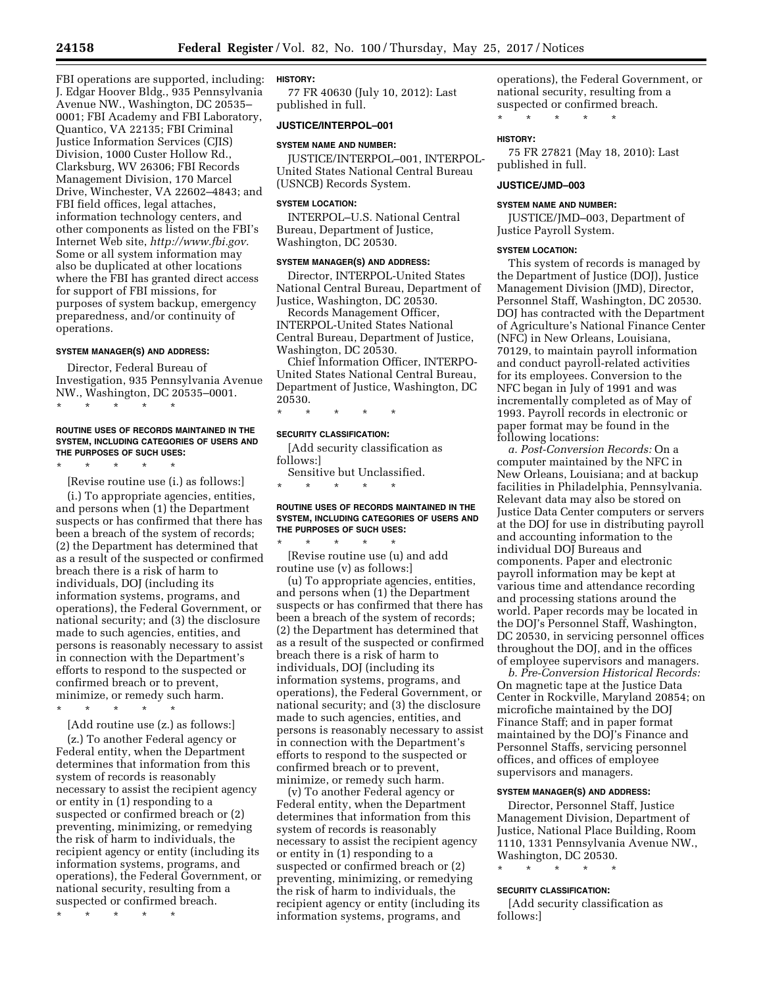FBI operations are supported, including: J. Edgar Hoover Bldg., 935 Pennsylvania Avenue NW., Washington, DC 20535– 0001; FBI Academy and FBI Laboratory, Quantico, VA 22135; FBI Criminal Justice Information Services (CJIS) Division, 1000 Custer Hollow Rd., Clarksburg, WV 26306; FBI Records Management Division, 170 Marcel Drive, Winchester, VA 22602–4843; and FBI field offices, legal attaches, information technology centers, and other components as listed on the FBI's Internet Web site, *[http://www.fbi.gov.](http://www.fbi.gov)*  Some or all system information may also be duplicated at other locations where the FBI has granted direct access for support of FBI missions, for purposes of system backup, emergency preparedness, and/or continuity of operations.

# **SYSTEM MANAGER(S) AND ADDRESS:**

Director, Federal Bureau of Investigation, 935 Pennsylvania Avenue NW., Washington, DC 20535–0001.

### **ROUTINE USES OF RECORDS MAINTAINED IN THE SYSTEM, INCLUDING CATEGORIES OF USERS AND THE PURPOSES OF SUCH USES:**

\* \* \* \* \*

\* \* \* \* \*

[Revise routine use (i.) as follows:]

(i.) To appropriate agencies, entities, and persons when (1) the Department suspects or has confirmed that there has been a breach of the system of records; (2) the Department has determined that as a result of the suspected or confirmed breach there is a risk of harm to individuals, DOJ (including its information systems, programs, and operations), the Federal Government, or national security; and (3) the disclosure made to such agencies, entities, and persons is reasonably necessary to assist in connection with the Department's efforts to respond to the suspected or confirmed breach or to prevent, minimize, or remedy such harm.

\* \* \* \* \*

[Add routine use (z.) as follows:]

(z.) To another Federal agency or Federal entity, when the Department determines that information from this system of records is reasonably necessary to assist the recipient agency or entity in (1) responding to a suspected or confirmed breach or (2) preventing, minimizing, or remedying the risk of harm to individuals, the recipient agency or entity (including its information systems, programs, and operations), the Federal Government, or national security, resulting from a suspected or confirmed breach.

\* \* \* \* \*

# **HISTORY:**

77 FR 40630 (July 10, 2012): Last published in full.

# **JUSTICE/INTERPOL–001**

# **SYSTEM NAME AND NUMBER:**

JUSTICE/INTERPOL–001, INTERPOL-United States National Central Bureau (USNCB) Records System.

# **SYSTEM LOCATION:**

INTERPOL–U.S. National Central Bureau, Department of Justice, Washington, DC 20530.

#### **SYSTEM MANAGER(S) AND ADDRESS:**

Director, INTERPOL-United States National Central Bureau, Department of Justice, Washington, DC 20530.

Records Management Officer, INTERPOL-United States National Central Bureau, Department of Justice, Washington, DC 20530.

Chief Information Officer, INTERPO-United States National Central Bureau, Department of Justice, Washington, DC 20530.

\* \* \* \* \*

# **SECURITY CLASSIFICATION:**

[Add security classification as follows:]

Sensitive but Unclassified. \* \* \* \* \*

### **ROUTINE USES OF RECORDS MAINTAINED IN THE SYSTEM, INCLUDING CATEGORIES OF USERS AND THE PURPOSES OF SUCH USES:**

\* \* \* \* \* [Revise routine use (u) and add routine use (v) as follows:]

(u) To appropriate agencies, entities, and persons when (1) the Department suspects or has confirmed that there has been a breach of the system of records; (2) the Department has determined that as a result of the suspected or confirmed breach there is a risk of harm to individuals, DOJ (including its information systems, programs, and operations), the Federal Government, or national security; and (3) the disclosure made to such agencies, entities, and persons is reasonably necessary to assist in connection with the Department's efforts to respond to the suspected or confirmed breach or to prevent, minimize, or remedy such harm.

(v) To another Federal agency or Federal entity, when the Department determines that information from this system of records is reasonably necessary to assist the recipient agency or entity in (1) responding to a suspected or confirmed breach or (2) preventing, minimizing, or remedying the risk of harm to individuals, the recipient agency or entity (including its information systems, programs, and

operations), the Federal Government, or national security, resulting from a suspected or confirmed breach.

\* \* \* \* \*

# **HISTORY:**

75 FR 27821 (May 18, 2010): Last published in full.

# **JUSTICE/JMD–003**

#### **SYSTEM NAME AND NUMBER:**

JUSTICE/JMD–003, Department of Justice Payroll System.

#### **SYSTEM LOCATION:**

This system of records is managed by the Department of Justice (DOJ), Justice Management Division (JMD), Director, Personnel Staff, Washington, DC 20530. DOJ has contracted with the Department of Agriculture's National Finance Center (NFC) in New Orleans, Louisiana, 70129, to maintain payroll information and conduct payroll-related activities for its employees. Conversion to the NFC began in July of 1991 and was incrementally completed as of May of 1993. Payroll records in electronic or paper format may be found in the following locations:

*a. Post-Conversion Records:* On a computer maintained by the NFC in New Orleans, Louisiana; and at backup facilities in Philadelphia, Pennsylvania. Relevant data may also be stored on Justice Data Center computers or servers at the DOJ for use in distributing payroll and accounting information to the individual DOJ Bureaus and components. Paper and electronic payroll information may be kept at various time and attendance recording and processing stations around the world. Paper records may be located in the DOJ's Personnel Staff, Washington, DC 20530, in servicing personnel offices throughout the DOJ, and in the offices of employee supervisors and managers.

*b. Pre-Conversion Historical Records:*  On magnetic tape at the Justice Data Center in Rockville, Maryland 20854; on microfiche maintained by the DOJ Finance Staff; and in paper format maintained by the DOJ's Finance and Personnel Staffs, servicing personnel offices, and offices of employee supervisors and managers.

# **SYSTEM MANAGER(S) AND ADDRESS:**

Director, Personnel Staff, Justice Management Division, Department of Justice, National Place Building, Room 1110, 1331 Pennsylvania Avenue NW., Washington, DC 20530.

\* \* \* \* \*

### **SECURITY CLASSIFICATION:**

[Add security classification as follows:]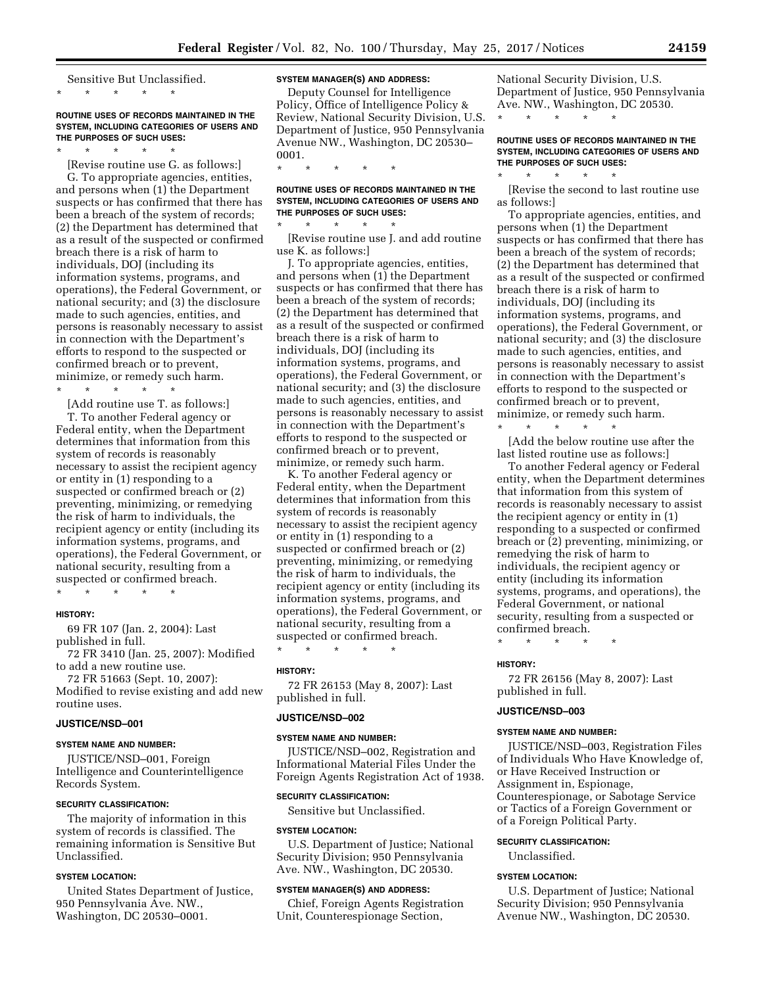Sensitive But Unclassified. \* \* \* \* \*

# **ROUTINE USES OF RECORDS MAINTAINED IN THE SYSTEM, INCLUDING CATEGORIES OF USERS AND THE PURPOSES OF SUCH USES:**

\* \* \* \* \*

[Revise routine use G. as follows:] G. To appropriate agencies, entities, and persons when (1) the Department suspects or has confirmed that there has been a breach of the system of records; (2) the Department has determined that as a result of the suspected or confirmed breach there is a risk of harm to individuals, DOJ (including its information systems, programs, and operations), the Federal Government, or national security; and (3) the disclosure made to such agencies, entities, and persons is reasonably necessary to assist in connection with the Department's efforts to respond to the suspected or confirmed breach or to prevent, minimize, or remedy such harm.

\* \* \* \* \*

[Add routine use T. as follows:]

T. To another Federal agency or Federal entity, when the Department determines that information from this system of records is reasonably necessary to assist the recipient agency or entity in (1) responding to a suspected or confirmed breach or (2) preventing, minimizing, or remedying the risk of harm to individuals, the recipient agency or entity (including its information systems, programs, and operations), the Federal Government, or national security, resulting from a suspected or confirmed breach.

#### **HISTORY:**

69 FR 107 (Jan. 2, 2004): Last published in full.

\* \* \* \* \*

72 FR 3410 (Jan. 25, 2007): Modified to add a new routine use.

72 FR 51663 (Sept. 10, 2007):

Modified to revise existing and add new routine uses.

### **JUSTICE/NSD–001**

#### **SYSTEM NAME AND NUMBER:**

JUSTICE/NSD–001, Foreign Intelligence and Counterintelligence Records System.

#### **SECURITY CLASSIFICATION:**

The majority of information in this system of records is classified. The remaining information is Sensitive But Unclassified.

# **SYSTEM LOCATION:**

United States Department of Justice, 950 Pennsylvania Ave. NW., Washington, DC 20530–0001.

# **SYSTEM MANAGER(S) AND ADDRESS:**

Deputy Counsel for Intelligence Policy, Office of Intelligence Policy & Review, National Security Division, U.S. Department of Justice, 950 Pennsylvania Avenue NW., Washington, DC 20530– 0001.

\* \* \* \* \*

### **ROUTINE USES OF RECORDS MAINTAINED IN THE SYSTEM, INCLUDING CATEGORIES OF USERS AND THE PURPOSES OF SUCH USES:**

\* \* \* \* \* [Revise routine use J. and add routine use K. as follows:]

J. To appropriate agencies, entities, and persons when (1) the Department suspects or has confirmed that there has been a breach of the system of records; (2) the Department has determined that as a result of the suspected or confirmed breach there is a risk of harm to individuals, DOJ (including its information systems, programs, and operations), the Federal Government, or national security; and (3) the disclosure made to such agencies, entities, and persons is reasonably necessary to assist in connection with the Department's efforts to respond to the suspected or confirmed breach or to prevent, minimize, or remedy such harm.

K. To another Federal agency or Federal entity, when the Department determines that information from this system of records is reasonably necessary to assist the recipient agency or entity in (1) responding to a suspected or confirmed breach or (2) preventing, minimizing, or remedying the risk of harm to individuals, the recipient agency or entity (including its information systems, programs, and operations), the Federal Government, or national security, resulting from a suspected or confirmed breach.

\* \* \* \* \*

# **HISTORY:**

72 FR 26153 (May 8, 2007): Last published in full.

### **JUSTICE/NSD–002**

#### **SYSTEM NAME AND NUMBER:**

JUSTICE/NSD–002, Registration and Informational Material Files Under the Foreign Agents Registration Act of 1938.

#### **SECURITY CLASSIFICATION:**

Sensitive but Unclassified.

#### **SYSTEM LOCATION:**

U.S. Department of Justice; National Security Division; 950 Pennsylvania Ave. NW., Washington, DC 20530.

#### **SYSTEM MANAGER(S) AND ADDRESS:**

Chief, Foreign Agents Registration Unit, Counterespionage Section,

National Security Division, U.S. Department of Justice, 950 Pennsylvania Ave. NW., Washington, DC 20530. \* \* \* \* \*

### **ROUTINE USES OF RECORDS MAINTAINED IN THE SYSTEM, INCLUDING CATEGORIES OF USERS AND THE PURPOSES OF SUCH USES:**

\* \* \* \* \*

[Revise the second to last routine use as follows:]

To appropriate agencies, entities, and persons when (1) the Department suspects or has confirmed that there has been a breach of the system of records; (2) the Department has determined that as a result of the suspected or confirmed breach there is a risk of harm to individuals, DOJ (including its information systems, programs, and operations), the Federal Government, or national security; and (3) the disclosure made to such agencies, entities, and persons is reasonably necessary to assist in connection with the Department's efforts to respond to the suspected or confirmed breach or to prevent, minimize, or remedy such harm.

\* \* \* \* \* [Add the below routine use after the last listed routine use as follows:]

To another Federal agency or Federal entity, when the Department determines that information from this system of records is reasonably necessary to assist the recipient agency or entity in (1) responding to a suspected or confirmed breach or (2) preventing, minimizing, or remedying the risk of harm to individuals, the recipient agency or entity (including its information systems, programs, and operations), the Federal Government, or national security, resulting from a suspected or confirmed breach.

\* \* \* \* \*

#### **HISTORY:**

72 FR 26156 (May 8, 2007): Last published in full.

## **JUSTICE/NSD–003**

#### **SYSTEM NAME AND NUMBER:**

JUSTICE/NSD–003, Registration Files of Individuals Who Have Knowledge of, or Have Received Instruction or Assignment in, Espionage, Counterespionage, or Sabotage Service or Tactics of a Foreign Government or of a Foreign Political Party.

**SECURITY CLASSIFICATION:** 

Unclassified.

### **SYSTEM LOCATION:**

U.S. Department of Justice; National Security Division; 950 Pennsylvania Avenue NW., Washington, DC 20530.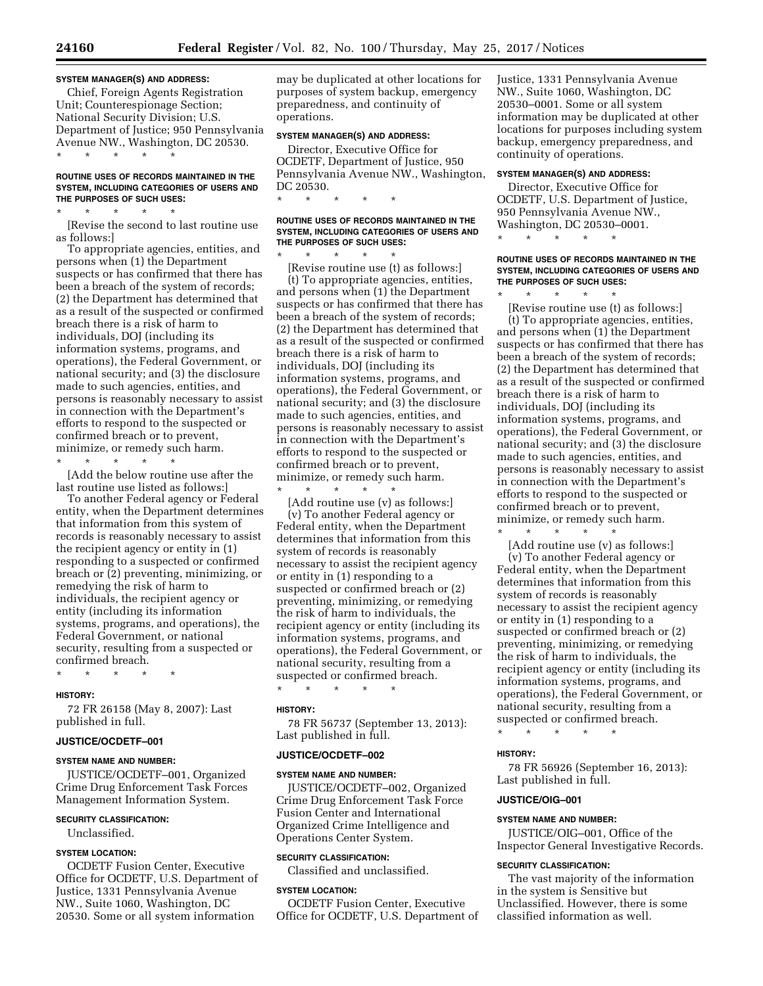### **SYSTEM MANAGER(S) AND ADDRESS:**

Chief, Foreign Agents Registration Unit; Counterespionage Section; National Security Division; U.S. Department of Justice; 950 Pennsylvania Avenue NW., Washington, DC 20530. \* \* \* \* \*

# **ROUTINE USES OF RECORDS MAINTAINED IN THE SYSTEM, INCLUDING CATEGORIES OF USERS AND THE PURPOSES OF SUCH USES:**

\* \* \* \* \* [Revise the second to last routine use as follows:]

To appropriate agencies, entities, and persons when (1) the Department suspects or has confirmed that there has been a breach of the system of records; (2) the Department has determined that as a result of the suspected or confirmed breach there is a risk of harm to individuals, DOJ (including its information systems, programs, and operations), the Federal Government, or national security; and (3) the disclosure made to such agencies, entities, and persons is reasonably necessary to assist in connection with the Department's efforts to respond to the suspected or confirmed breach or to prevent, minimize, or remedy such harm.

\* \* \* \* \*

[Add the below routine use after the last routine use listed as follows:]

To another Federal agency or Federal entity, when the Department determines that information from this system of records is reasonably necessary to assist the recipient agency or entity in (1) responding to a suspected or confirmed breach or (2) preventing, minimizing, or remedying the risk of harm to individuals, the recipient agency or entity (including its information systems, programs, and operations), the Federal Government, or national security, resulting from a suspected or confirmed breach.

\* \* \* \* \*

#### **HISTORY:**

72 FR 26158 (May 8, 2007): Last published in full.

### **JUSTICE/OCDETF–001**

#### **SYSTEM NAME AND NUMBER:**

JUSTICE/OCDETF–001, Organized Crime Drug Enforcement Task Forces Management Information System.

#### **SECURITY CLASSIFICATION:**

Unclassified.

#### **SYSTEM LOCATION:**

OCDETF Fusion Center, Executive Office for OCDETF, U.S. Department of Justice, 1331 Pennsylvania Avenue NW., Suite 1060, Washington, DC 20530. Some or all system information

may be duplicated at other locations for purposes of system backup, emergency preparedness, and continuity of operations.

# **SYSTEM MANAGER(S) AND ADDRESS:**

Director, Executive Office for OCDETF, Department of Justice, 950 Pennsylvania Avenue NW., Washington, DC 20530. \* \* \* \* \*

### **ROUTINE USES OF RECORDS MAINTAINED IN THE SYSTEM, INCLUDING CATEGORIES OF USERS AND THE PURPOSES OF SUCH USES:**

\* \* \* \* \* [Revise routine use (t) as follows:]

\* \* \* \* \*

(t) To appropriate agencies, entities, and persons when (1) the Department suspects or has confirmed that there has been a breach of the system of records; (2) the Department has determined that as a result of the suspected or confirmed breach there is a risk of harm to individuals, DOJ (including its information systems, programs, and operations), the Federal Government, or national security; and (3) the disclosure made to such agencies, entities, and persons is reasonably necessary to assist in connection with the Department's efforts to respond to the suspected or confirmed breach or to prevent, minimize, or remedy such harm.

[Add routine use (v) as follows:] (v) To another Federal agency or Federal entity, when the Department determines that information from this system of records is reasonably necessary to assist the recipient agency or entity in (1) responding to a suspected or confirmed breach or (2) preventing, minimizing, or remedying the risk of harm to individuals, the recipient agency or entity (including its information systems, programs, and operations), the Federal Government, or national security, resulting from a suspected or confirmed breach. \* \* \* \* \*

# **HISTORY:**

78 FR 56737 (September 13, 2013): Last published in full.

#### **JUSTICE/OCDETF–002**

#### **SYSTEM NAME AND NUMBER:**

JUSTICE/OCDETF–002, Organized Crime Drug Enforcement Task Force Fusion Center and International Organized Crime Intelligence and Operations Center System.

# **SECURITY CLASSIFICATION:**

Classified and unclassified.

#### **SYSTEM LOCATION:**

OCDETF Fusion Center, Executive Office for OCDETF, U.S. Department of Justice, 1331 Pennsylvania Avenue NW., Suite 1060, Washington, DC 20530–0001. Some or all system information may be duplicated at other locations for purposes including system backup, emergency preparedness, and continuity of operations.

#### **SYSTEM MANAGER(S) AND ADDRESS:**

Director, Executive Office for OCDETF, U.S. Department of Justice, 950 Pennsylvania Avenue NW., Washington, DC 20530–0001.

\* \* \* \* \*

### **ROUTINE USES OF RECORDS MAINTAINED IN THE SYSTEM, INCLUDING CATEGORIES OF USERS AND THE PURPOSES OF SUCH USES:**

 $\star$   $\star$   $\star$ 

[Revise routine use (t) as follows:] (t) To appropriate agencies, entities, and persons when (1) the Department suspects or has confirmed that there has been a breach of the system of records; (2) the Department has determined that as a result of the suspected or confirmed breach there is a risk of harm to individuals, DOJ (including its information systems, programs, and operations), the Federal Government, or national security; and (3) the disclosure made to such agencies, entities, and persons is reasonably necessary to assist in connection with the Department's efforts to respond to the suspected or confirmed breach or to prevent, minimize, or remedy such harm.

 $\star$   $\star$   $\star$ 

[Add routine use (v) as follows:] (v) To another Federal agency or Federal entity, when the Department determines that information from this system of records is reasonably necessary to assist the recipient agency or entity in (1) responding to a suspected or confirmed breach or (2) preventing, minimizing, or remedying the risk of harm to individuals, the recipient agency or entity (including its information systems, programs, and operations), the Federal Government, or national security, resulting from a suspected or confirmed breach.

\* \* \* \* \*

# **HISTORY:**

78 FR 56926 (September 16, 2013): Last published in full.

### **JUSTICE/OIG–001**

# **SYSTEM NAME AND NUMBER:**

JUSTICE/OIG–001, Office of the Inspector General Investigative Records.

#### **SECURITY CLASSIFICATION:**

The vast majority of the information in the system is Sensitive but Unclassified. However, there is some classified information as well.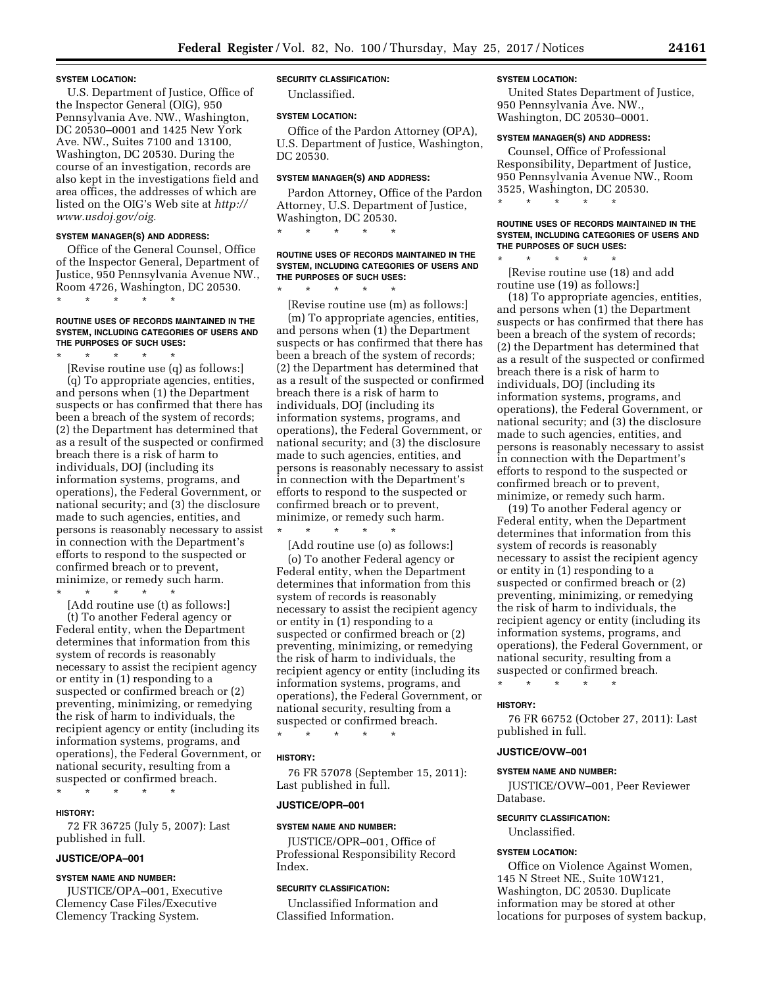#### **SYSTEM LOCATION:**

U.S. Department of Justice, Office of the Inspector General (OIG), 950 Pennsylvania Ave. NW., Washington, DC 20530–0001 and 1425 New York Ave. NW., Suites 7100 and 13100, Washington, DC 20530. During the course of an investigation, records are also kept in the investigations field and area offices, the addresses of which are listed on the OIG's Web site at *[http://](http://www.usdoj.gov/oig) [www.usdoj.gov/oig.](http://www.usdoj.gov/oig)* 

#### **SYSTEM MANAGER(S) AND ADDRESS:**

Office of the General Counsel, Office of the Inspector General, Department of Justice, 950 Pennsylvania Avenue NW., Room 4726, Washington, DC 20530. \* \* \* \* \*

### **ROUTINE USES OF RECORDS MAINTAINED IN THE SYSTEM, INCLUDING CATEGORIES OF USERS AND THE PURPOSES OF SUCH USES:**

\* \* \* \* \* [Revise routine use (q) as follows:] (q) To appropriate agencies, entities, and persons when (1) the Department suspects or has confirmed that there has been a breach of the system of records; (2) the Department has determined that as a result of the suspected or confirmed breach there is a risk of harm to individuals, DOJ (including its information systems, programs, and operations), the Federal Government, or national security; and (3) the disclosure made to such agencies, entities, and persons is reasonably necessary to assist in connection with the Department's efforts to respond to the suspected or confirmed breach or to prevent, minimize, or remedy such harm.

\* \* \* \* \*

[Add routine use (t) as follows:] (t) To another Federal agency or Federal entity, when the Department determines that information from this system of records is reasonably necessary to assist the recipient agency or entity in (1) responding to a suspected or confirmed breach or (2) preventing, minimizing, or remedying the risk of harm to individuals, the recipient agency or entity (including its information systems, programs, and operations), the Federal Government, or national security, resulting from a suspected or confirmed breach.

#### **HISTORY:**

72 FR 36725 (July 5, 2007): Last published in full.

#### **JUSTICE/OPA–001**

### **SYSTEM NAME AND NUMBER:**

\* \* \* \* \*

JUSTICE/OPA–001, Executive Clemency Case Files/Executive Clemency Tracking System.

# **SECURITY CLASSIFICATION:**

Unclassified.

#### **SYSTEM LOCATION:**

Office of the Pardon Attorney (OPA), U.S. Department of Justice, Washington, DC 20530.

#### **SYSTEM MANAGER(S) AND ADDRESS:**

Pardon Attorney, Office of the Pardon Attorney, U.S. Department of Justice, Washington, DC 20530.

\* \* \* \* \*

# **ROUTINE USES OF RECORDS MAINTAINED IN THE SYSTEM, INCLUDING CATEGORIES OF USERS AND THE PURPOSES OF SUCH USES:**

\* \* \* \* \* [Revise routine use (m) as follows:] (m) To appropriate agencies, entities, and persons when (1) the Department suspects or has confirmed that there has been a breach of the system of records; (2) the Department has determined that as a result of the suspected or confirmed breach there is a risk of harm to individuals, DOJ (including its information systems, programs, and operations), the Federal Government, or national security; and (3) the disclosure made to such agencies, entities, and persons is reasonably necessary to assist in connection with the Department's efforts to respond to the suspected or confirmed breach or to prevent, minimize, or remedy such harm. \* \* \* \* \*

[Add routine use (o) as follows:]

(o) To another Federal agency or Federal entity, when the Department determines that information from this system of records is reasonably necessary to assist the recipient agency or entity in (1) responding to a suspected or confirmed breach or (2) preventing, minimizing, or remedying the risk of harm to individuals, the recipient agency or entity (including its information systems, programs, and operations), the Federal Government, or national security, resulting from a suspected or confirmed breach.

\* \* \* \* \*

# **HISTORY:**

76 FR 57078 (September 15, 2011): Last published in full.

# **JUSTICE/OPR–001**

#### **SYSTEM NAME AND NUMBER:**

JUSTICE/OPR–001, Office of Professional Responsibility Record Index.

### **SECURITY CLASSIFICATION:**

Unclassified Information and Classified Information.

# **SYSTEM LOCATION:**

United States Department of Justice, 950 Pennsylvania Ave. NW., Washington, DC 20530–0001.

# **SYSTEM MANAGER(S) AND ADDRESS:**

Counsel, Office of Professional Responsibility, Department of Justice, 950 Pennsylvania Avenue NW., Room 3525, Washington, DC 20530. \* \* \* \* \*

### **ROUTINE USES OF RECORDS MAINTAINED IN THE SYSTEM, INCLUDING CATEGORIES OF USERS AND THE PURPOSES OF SUCH USES:**

\* \* \* \* \* [Revise routine use (18) and add routine use (19) as follows:]

(18) To appropriate agencies, entities, and persons when (1) the Department suspects or has confirmed that there has been a breach of the system of records; (2) the Department has determined that as a result of the suspected or confirmed breach there is a risk of harm to individuals, DOJ (including its information systems, programs, and operations), the Federal Government, or national security; and (3) the disclosure made to such agencies, entities, and persons is reasonably necessary to assist in connection with the Department's efforts to respond to the suspected or confirmed breach or to prevent, minimize, or remedy such harm.

(19) To another Federal agency or Federal entity, when the Department determines that information from this system of records is reasonably necessary to assist the recipient agency or entity in (1) responding to a suspected or confirmed breach or (2) preventing, minimizing, or remedying the risk of harm to individuals, the recipient agency or entity (including its information systems, programs, and operations), the Federal Government, or national security, resulting from a suspected or confirmed breach.

\* \* \* \* \*

#### **HISTORY:**

76 FR 66752 (October 27, 2011): Last published in full.

### **JUSTICE/OVW–001**

### **SYSTEM NAME AND NUMBER:**

JUSTICE/OVW–001, Peer Reviewer Database.

### **SECURITY CLASSIFICATION:**

Unclassified.

#### **SYSTEM LOCATION:**

Office on Violence Against Women, 145 N Street NE., Suite 10W121, Washington, DC 20530. Duplicate information may be stored at other locations for purposes of system backup,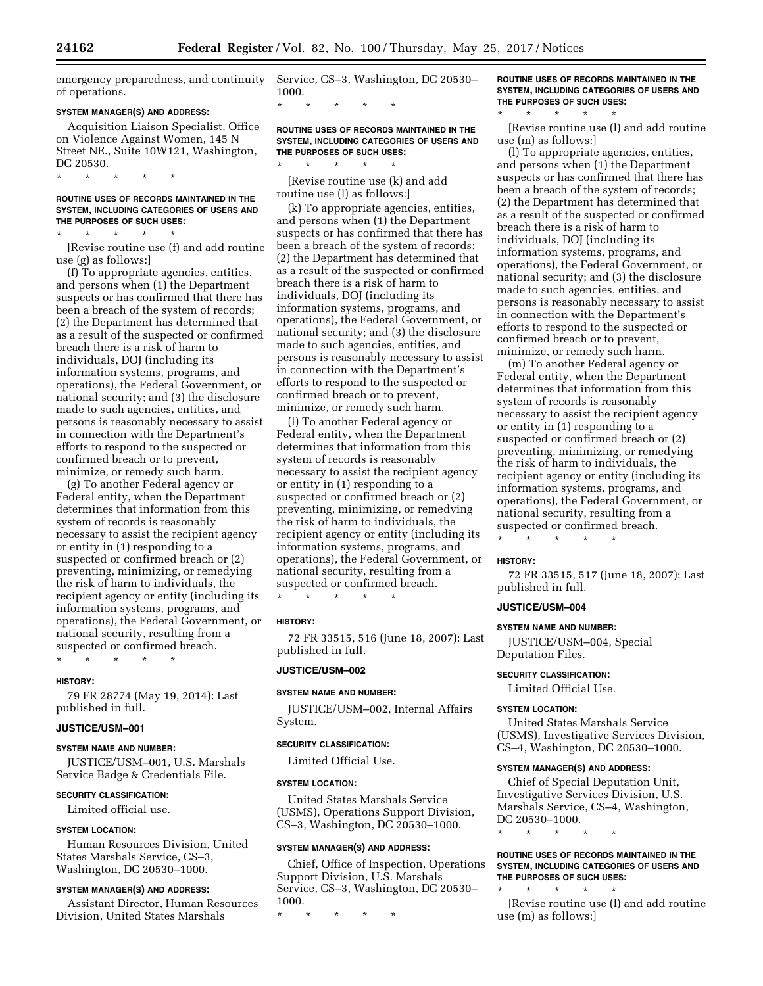emergency preparedness, and continuity of operations.

### **SYSTEM MANAGER(S) AND ADDRESS:**

Acquisition Liaison Specialist, Office on Violence Against Women, 145 N Street NE., Suite 10W121, Washington, DC 20530.

\* \* \* \* \*

### **ROUTINE USES OF RECORDS MAINTAINED IN THE SYSTEM, INCLUDING CATEGORIES OF USERS AND THE PURPOSES OF SUCH USES:**

\* \* \* \* \* [Revise routine use (f) and add routine use (g) as follows:]

(f) To appropriate agencies, entities, and persons when (1) the Department suspects or has confirmed that there has been a breach of the system of records; (2) the Department has determined that as a result of the suspected or confirmed breach there is a risk of harm to individuals, DOJ (including its information systems, programs, and operations), the Federal Government, or national security; and (3) the disclosure made to such agencies, entities, and persons is reasonably necessary to assist in connection with the Department's efforts to respond to the suspected or confirmed breach or to prevent, minimize, or remedy such harm.

(g) To another Federal agency or Federal entity, when the Department determines that information from this system of records is reasonably necessary to assist the recipient agency or entity in (1) responding to a suspected or confirmed breach or (2) preventing, minimizing, or remedying the risk of harm to individuals, the recipient agency or entity (including its information systems, programs, and operations), the Federal Government, or national security, resulting from a suspected or confirmed breach. \* \* \* \* \*

### **HISTORY:**

79 FR 28774 (May 19, 2014): Last published in full.

# **JUSTICE/USM–001**

#### **SYSTEM NAME AND NUMBER:**

JUSTICE/USM–001, U.S. Marshals Service Badge & Credentials File.

# **SECURITY CLASSIFICATION:**

Limited official use.

# **SYSTEM LOCATION:**

Human Resources Division, United States Marshals Service, CS–3, Washington, DC 20530–1000.

#### **SYSTEM MANAGER(S) AND ADDRESS:**

Assistant Director, Human Resources Division, United States Marshals

Service, CS–3, Washington, DC 20530– 1000.

**ROUTINE USES OF RECORDS MAINTAINED IN THE SYSTEM, INCLUDING CATEGORIES OF USERS AND THE PURPOSES OF SUCH USES:** 

[Revise routine use (k) and add routine use (l) as follows:]

\* \* \* \* \*

\* \* \* \* \*

(k) To appropriate agencies, entities, and persons when (1) the Department suspects or has confirmed that there has been a breach of the system of records; (2) the Department has determined that as a result of the suspected or confirmed breach there is a risk of harm to individuals, DOJ (including its information systems, programs, and operations), the Federal Government, or national security; and (3) the disclosure made to such agencies, entities, and persons is reasonably necessary to assist in connection with the Department's efforts to respond to the suspected or confirmed breach or to prevent, minimize, or remedy such harm.

(l) To another Federal agency or Federal entity, when the Department determines that information from this system of records is reasonably necessary to assist the recipient agency or entity in (1) responding to a suspected or confirmed breach or (2) preventing, minimizing, or remedying the risk of harm to individuals, the recipient agency or entity (including its information systems, programs, and operations), the Federal Government, or national security, resulting from a suspected or confirmed breach.

\* \* \* \* \*

# **HISTORY:**

72 FR 33515, 516 (June 18, 2007): Last published in full.

### **JUSTICE/USM–002**

#### **SYSTEM NAME AND NUMBER:**

JUSTICE/USM–002, Internal Affairs System.

#### **SECURITY CLASSIFICATION:**

Limited Official Use.

#### **SYSTEM LOCATION:**

United States Marshals Service (USMS), Operations Support Division, CS–3, Washington, DC 20530–1000.

# **SYSTEM MANAGER(S) AND ADDRESS:**

Chief, Office of Inspection, Operations Support Division, U.S. Marshals Service, CS–3, Washington, DC 20530– 1000.

\* \* \* \* \*

# **ROUTINE USES OF RECORDS MAINTAINED IN THE SYSTEM, INCLUDING CATEGORIES OF USERS AND THE PURPOSES OF SUCH USES:**

\* \* \* \* \* [Revise routine use (l) and add routine use (m) as follows:]

(l) To appropriate agencies, entities, and persons when (1) the Department suspects or has confirmed that there has been a breach of the system of records; (2) the Department has determined that as a result of the suspected or confirmed breach there is a risk of harm to individuals, DOJ (including its information systems, programs, and operations), the Federal Government, or national security; and (3) the disclosure made to such agencies, entities, and persons is reasonably necessary to assist in connection with the Department's efforts to respond to the suspected or confirmed breach or to prevent, minimize, or remedy such harm.

(m) To another Federal agency or Federal entity, when the Department determines that information from this system of records is reasonably necessary to assist the recipient agency or entity in (1) responding to a suspected or confirmed breach or (2) preventing, minimizing, or remedying the risk of harm to individuals, the recipient agency or entity (including its information systems, programs, and operations), the Federal Government, or national security, resulting from a suspected or confirmed breach.

\* \* \* \* \*

#### **HISTORY:**

72 FR 33515, 517 (June 18, 2007): Last published in full.

# **JUSTICE/USM–004**

#### **SYSTEM NAME AND NUMBER:**

JUSTICE/USM–004, Special Deputation Files.

# **SECURITY CLASSIFICATION:**

Limited Official Use.

#### **SYSTEM LOCATION:**

United States Marshals Service (USMS), Investigative Services Division, CS–4, Washington, DC 20530–1000.

#### **SYSTEM MANAGER(S) AND ADDRESS:**

Chief of Special Deputation Unit, Investigative Services Division, U.S. Marshals Service, CS–4, Washington, DC 20530–1000.

\* \* \* \* \*

### **ROUTINE USES OF RECORDS MAINTAINED IN THE SYSTEM, INCLUDING CATEGORIES OF USERS AND THE PURPOSES OF SUCH USES:**

\* \* \* \* \*

[Revise routine use (l) and add routine use (m) as follows:]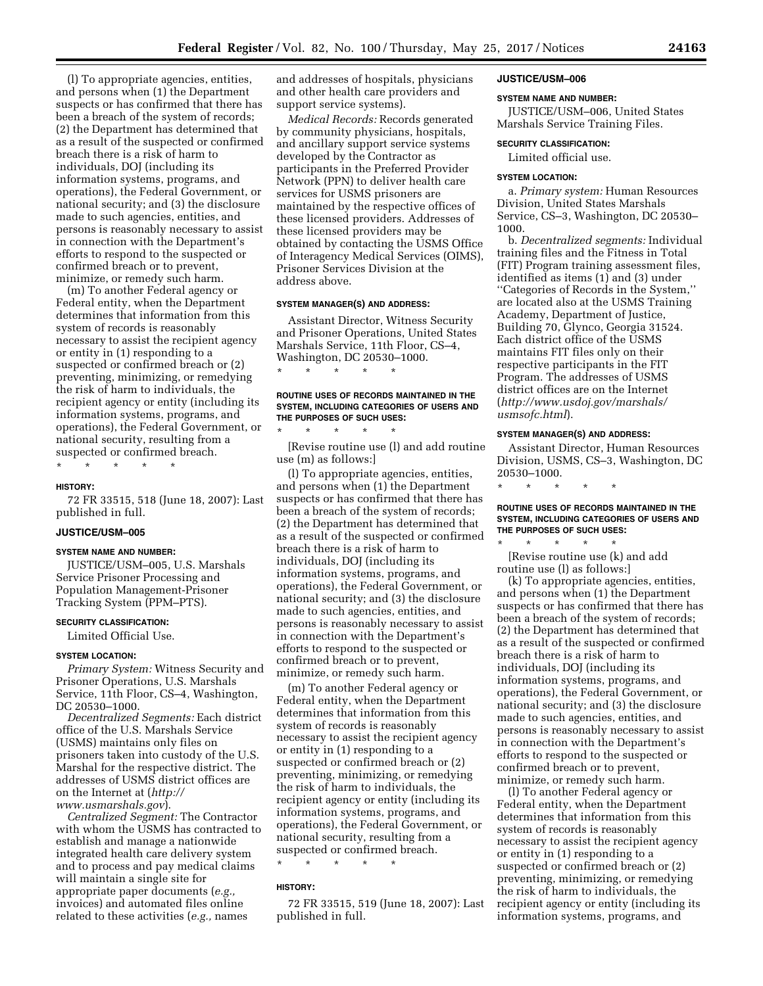(l) To appropriate agencies, entities, and persons when (1) the Department suspects or has confirmed that there has been a breach of the system of records; (2) the Department has determined that as a result of the suspected or confirmed breach there is a risk of harm to individuals, DOJ (including its information systems, programs, and operations), the Federal Government, or national security; and (3) the disclosure made to such agencies, entities, and persons is reasonably necessary to assist in connection with the Department's efforts to respond to the suspected or confirmed breach or to prevent, minimize, or remedy such harm.

(m) To another Federal agency or Federal entity, when the Department determines that information from this system of records is reasonably necessary to assist the recipient agency or entity in (1) responding to a suspected or confirmed breach or (2) preventing, minimizing, or remedying the risk of harm to individuals, the recipient agency or entity (including its information systems, programs, and operations), the Federal Government, or national security, resulting from a suspected or confirmed breach.

### **HISTORY:**

72 FR 33515, 518 (June 18, 2007): Last published in full.

### **JUSTICE/USM–005**

#### **SYSTEM NAME AND NUMBER:**

\* \* \* \* \*

JUSTICE/USM–005, U.S. Marshals Service Prisoner Processing and Population Management-Prisoner Tracking System (PPM–PTS).

# **SECURITY CLASSIFICATION:**

Limited Official Use.

# **SYSTEM LOCATION:**

*Primary System:* Witness Security and Prisoner Operations, U.S. Marshals Service, 11th Floor, CS–4, Washington, DC 20530–1000.

*Decentralized Segments:* Each district office of the U.S. Marshals Service (USMS) maintains only files on prisoners taken into custody of the U.S. Marshal for the respective district. The addresses of USMS district offices are on the Internet at (*[http://](http://www.usmarshals.gov)  [www.usmarshals.gov](http://www.usmarshals.gov)*).

*Centralized Segment:* The Contractor with whom the USMS has contracted to establish and manage a nationwide integrated health care delivery system and to process and pay medical claims will maintain a single site for appropriate paper documents (*e.g.,*  invoices) and automated files online related to these activities (*e.g.,* names

and addresses of hospitals, physicians and other health care providers and support service systems).

*Medical Records:* Records generated by community physicians, hospitals, and ancillary support service systems developed by the Contractor as participants in the Preferred Provider Network (PPN) to deliver health care services for USMS prisoners are maintained by the respective offices of these licensed providers. Addresses of these licensed providers may be obtained by contacting the USMS Office of Interagency Medical Services (OIMS), Prisoner Services Division at the address above.

#### **SYSTEM MANAGER(S) AND ADDRESS:**

Assistant Director, Witness Security and Prisoner Operations, United States Marshals Service, 11th Floor, CS–4, Washington, DC 20530–1000. \* \* \* \* \*

# **ROUTINE USES OF RECORDS MAINTAINED IN THE SYSTEM, INCLUDING CATEGORIES OF USERS AND THE PURPOSES OF SUCH USES:**

\* \* \* \* \* [Revise routine use (l) and add routine use (m) as follows:]

(l) To appropriate agencies, entities, and persons when (1) the Department suspects or has confirmed that there has been a breach of the system of records; (2) the Department has determined that as a result of the suspected or confirmed breach there is a risk of harm to individuals, DOJ (including its information systems, programs, and operations), the Federal Government, or national security; and (3) the disclosure made to such agencies, entities, and persons is reasonably necessary to assist in connection with the Department's efforts to respond to the suspected or confirmed breach or to prevent, minimize, or remedy such harm.

(m) To another Federal agency or Federal entity, when the Department determines that information from this system of records is reasonably necessary to assist the recipient agency or entity in (1) responding to a suspected or confirmed breach or (2) preventing, minimizing, or remedying the risk of harm to individuals, the recipient agency or entity (including its information systems, programs, and operations), the Federal Government, or national security, resulting from a suspected or confirmed breach. \* \* \* \* \*

#### **HISTORY:**

72 FR 33515, 519 (June 18, 2007): Last published in full.

#### **JUSTICE/USM–006**

#### **SYSTEM NAME AND NUMBER:**

JUSTICE/USM–006, United States Marshals Service Training Files.

### **SECURITY CLASSIFICATION:**

Limited official use.

#### **SYSTEM LOCATION:**

a. *Primary system:* Human Resources Division, United States Marshals Service, CS–3, Washington, DC 20530– 1000.

b. *Decentralized segments:* Individual training files and the Fitness in Total (FIT) Program training assessment files, identified as items (1) and (3) under ''Categories of Records in the System,'' are located also at the USMS Training Academy, Department of Justice, Building 70, Glynco, Georgia 31524. Each district office of the USMS maintains FIT files only on their respective participants in the FIT Program. The addresses of USMS district offices are on the Internet (*[http://www.usdoj.gov/marshals/](http://www.usdoj.gov/marshals/usmsofc.html)  [usmsofc.html](http://www.usdoj.gov/marshals/usmsofc.html)*).

#### **SYSTEM MANAGER(S) AND ADDRESS:**

Assistant Director, Human Resources Division, USMS, CS–3, Washington, DC 20530–1000.

\* \* \* \* \*

# **ROUTINE USES OF RECORDS MAINTAINED IN THE SYSTEM, INCLUDING CATEGORIES OF USERS AND THE PURPOSES OF SUCH USES:**

\* \* \* \* \* [Revise routine use (k) and add routine use (l) as follows:]

(k) To appropriate agencies, entities, and persons when (1) the Department suspects or has confirmed that there has been a breach of the system of records; (2) the Department has determined that as a result of the suspected or confirmed breach there is a risk of harm to individuals, DOJ (including its information systems, programs, and operations), the Federal Government, or national security; and (3) the disclosure made to such agencies, entities, and persons is reasonably necessary to assist in connection with the Department's efforts to respond to the suspected or confirmed breach or to prevent, minimize, or remedy such harm.

(l) To another Federal agency or Federal entity, when the Department determines that information from this system of records is reasonably necessary to assist the recipient agency or entity in (1) responding to a suspected or confirmed breach or (2) preventing, minimizing, or remedying the risk of harm to individuals, the recipient agency or entity (including its information systems, programs, and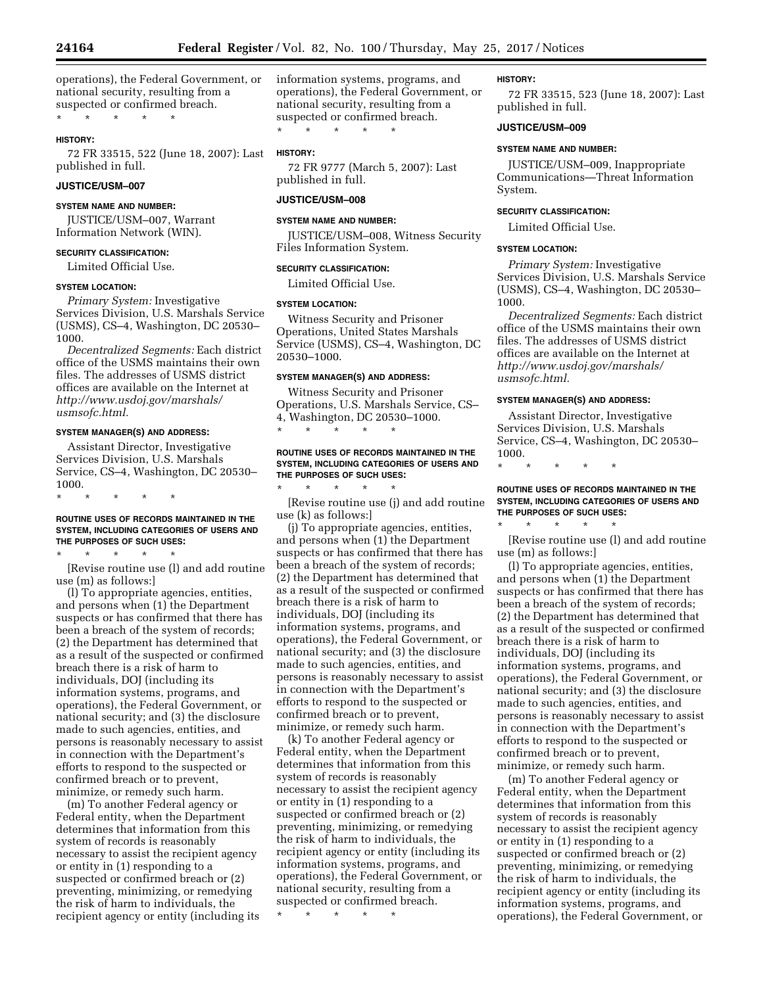operations), the Federal Government, or national security, resulting from a suspected or confirmed breach.

\* \* \* \* \*

#### **HISTORY:**

72 FR 33515, 522 (June 18, 2007): Last published in full.

# **JUSTICE/USM–007**

### **SYSTEM NAME AND NUMBER:**

JUSTICE/USM–007, Warrant Information Network (WIN).

# **SECURITY CLASSIFICATION:**

Limited Official Use.

# **SYSTEM LOCATION:**

*Primary System:* Investigative Services Division, U.S. Marshals Service (USMS), CS–4, Washington, DC 20530– 1000.

*Decentralized Segments:* Each district office of the USMS maintains their own files. The addresses of USMS district offices are available on the Internet at *[http://www.usdoj.gov/marshals/](http://www.usdoj.gov/marshals/usmsofc.html)  [usmsofc.html.](http://www.usdoj.gov/marshals/usmsofc.html)* 

#### **SYSTEM MANAGER(S) AND ADDRESS:**

Assistant Director, Investigative Services Division, U.S. Marshals Service, CS–4, Washington, DC 20530– 1000.

\* \* \* \* \*

### **ROUTINE USES OF RECORDS MAINTAINED IN THE SYSTEM, INCLUDING CATEGORIES OF USERS AND THE PURPOSES OF SUCH USES:**

\* \* \* \* \*

[Revise routine use (l) and add routine use (m) as follows:]

(l) To appropriate agencies, entities, and persons when (1) the Department suspects or has confirmed that there has been a breach of the system of records; (2) the Department has determined that as a result of the suspected or confirmed breach there is a risk of harm to individuals, DOJ (including its information systems, programs, and operations), the Federal Government, or national security; and (3) the disclosure made to such agencies, entities, and persons is reasonably necessary to assist in connection with the Department's efforts to respond to the suspected or confirmed breach or to prevent, minimize, or remedy such harm.

(m) To another Federal agency or Federal entity, when the Department determines that information from this system of records is reasonably necessary to assist the recipient agency or entity in (1) responding to a suspected or confirmed breach or (2) preventing, minimizing, or remedying the risk of harm to individuals, the recipient agency or entity (including its information systems, programs, and operations), the Federal Government, or national security, resulting from a suspected or confirmed breach.

\* \* \* \* \*

# **HISTORY:**

72 FR 9777 (March 5, 2007): Last published in full.

### **JUSTICE/USM–008**

#### **SYSTEM NAME AND NUMBER:**

JUSTICE/USM–008, Witness Security Files Information System.

#### **SECURITY CLASSIFICATION:**

Limited Official Use.

#### **SYSTEM LOCATION:**

Witness Security and Prisoner Operations, United States Marshals Service (USMS), CS–4, Washington, DC 20530–1000.

### **SYSTEM MANAGER(S) AND ADDRESS:**

Witness Security and Prisoner Operations, U.S. Marshals Service, CS– 4, Washington, DC 20530–1000. \* \* \* \* \*

#### **ROUTINE USES OF RECORDS MAINTAINED IN THE SYSTEM, INCLUDING CATEGORIES OF USERS AND THE PURPOSES OF SUCH USES:**

\* \* \* \* \* [Revise routine use (j) and add routine use (k) as follows:]

(j) To appropriate agencies, entities, and persons when (1) the Department suspects or has confirmed that there has been a breach of the system of records; (2) the Department has determined that as a result of the suspected or confirmed breach there is a risk of harm to individuals, DOJ (including its information systems, programs, and operations), the Federal Government, or national security; and (3) the disclosure made to such agencies, entities, and persons is reasonably necessary to assist in connection with the Department's efforts to respond to the suspected or confirmed breach or to prevent, minimize, or remedy such harm.

(k) To another Federal agency or Federal entity, when the Department determines that information from this system of records is reasonably necessary to assist the recipient agency or entity in (1) responding to a suspected or confirmed breach or (2) preventing, minimizing, or remedying the risk of harm to individuals, the recipient agency or entity (including its information systems, programs, and operations), the Federal Government, or national security, resulting from a suspected or confirmed breach.

\* \* \* \* \*

#### **HISTORY:**

72 FR 33515, 523 (June 18, 2007): Last published in full.

#### **JUSTICE/USM–009**

# **SYSTEM NAME AND NUMBER:**

JUSTICE/USM–009, Inappropriate Communications—Threat Information System.

### **SECURITY CLASSIFICATION:**

Limited Official Use.

#### **SYSTEM LOCATION:**

*Primary System:* Investigative Services Division, U.S. Marshals Service (USMS), CS–4, Washington, DC 20530– 1000.

*Decentralized Segments:* Each district office of the USMS maintains their own files. The addresses of USMS district offices are available on the Internet at *[http://www.usdoj.gov/marshals/](http://www.usdoj.gov/marshals/usmsofc.html)  [usmsofc.html.](http://www.usdoj.gov/marshals/usmsofc.html)* 

#### **SYSTEM MANAGER(S) AND ADDRESS:**

Assistant Director, Investigative Services Division, U.S. Marshals Service, CS–4, Washington, DC 20530– 1000.

\* \* \* \* \*

\* \* \* \* \*

### **ROUTINE USES OF RECORDS MAINTAINED IN THE SYSTEM, INCLUDING CATEGORIES OF USERS AND THE PURPOSES OF SUCH USES:**

[Revise routine use (l) and add routine use (m) as follows:]

(l) To appropriate agencies, entities, and persons when (1) the Department suspects or has confirmed that there has been a breach of the system of records; (2) the Department has determined that as a result of the suspected or confirmed breach there is a risk of harm to individuals, DOJ (including its information systems, programs, and operations), the Federal Government, or national security; and (3) the disclosure made to such agencies, entities, and persons is reasonably necessary to assist in connection with the Department's efforts to respond to the suspected or confirmed breach or to prevent, minimize, or remedy such harm.

(m) To another Federal agency or Federal entity, when the Department determines that information from this system of records is reasonably necessary to assist the recipient agency or entity in (1) responding to a suspected or confirmed breach or (2) preventing, minimizing, or remedying the risk of harm to individuals, the recipient agency or entity (including its information systems, programs, and operations), the Federal Government, or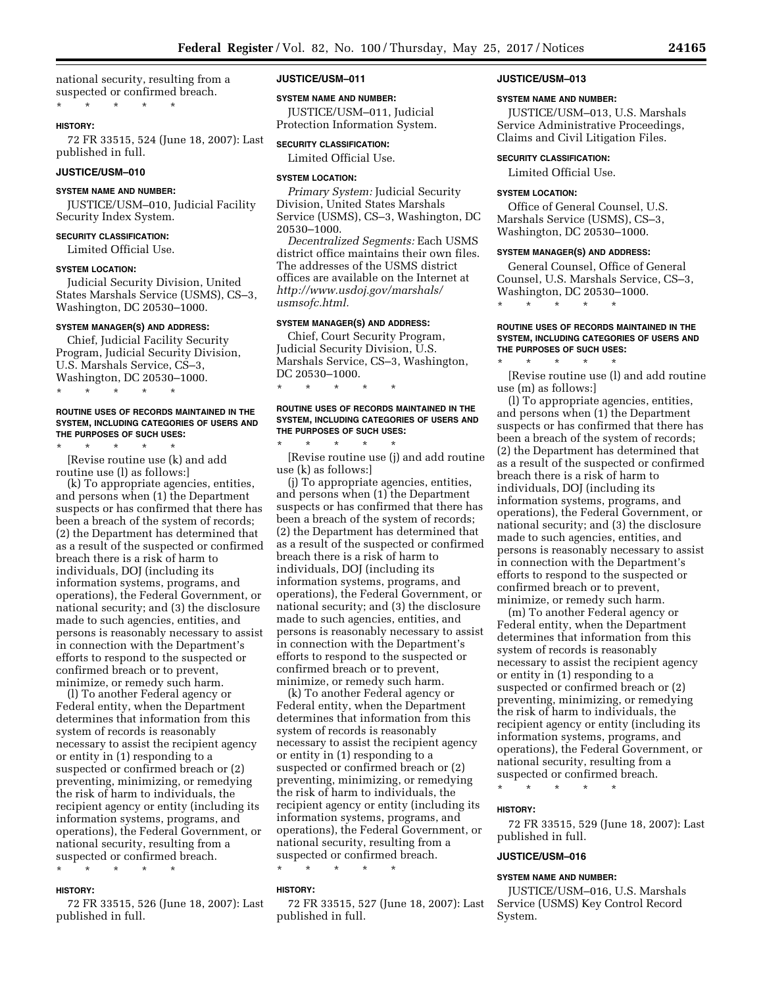national security, resulting from a suspected or confirmed breach. \* \* \* \* \*

#### **HISTORY:**

72 FR 33515, 524 (June 18, 2007): Last published in full.

# **JUSTICE/USM–010**

# **SYSTEM NAME AND NUMBER:**

JUSTICE/USM–010, Judicial Facility Security Index System.

#### **SECURITY CLASSIFICATION:**

Limited Official Use.

#### **SYSTEM LOCATION:**

Judicial Security Division, United States Marshals Service (USMS), CS–3, Washington, DC 20530–1000.

#### **SYSTEM MANAGER(S) AND ADDRESS:**

Chief, Judicial Facility Security Program, Judicial Security Division, U.S. Marshals Service, CS–3, Washington, DC 20530–1000.

\* \* \* \* \*

#### **ROUTINE USES OF RECORDS MAINTAINED IN THE SYSTEM, INCLUDING CATEGORIES OF USERS AND THE PURPOSES OF SUCH USES:**

\* \* \* \* \* [Revise routine use (k) and add routine use (l) as follows:]

(k) To appropriate agencies, entities, and persons when (1) the Department suspects or has confirmed that there has been a breach of the system of records; (2) the Department has determined that as a result of the suspected or confirmed breach there is a risk of harm to individuals, DOJ (including its information systems, programs, and operations), the Federal Government, or national security; and (3) the disclosure made to such agencies, entities, and persons is reasonably necessary to assist in connection with the Department's efforts to respond to the suspected or confirmed breach or to prevent, minimize, or remedy such harm.

(l) To another Federal agency or Federal entity, when the Department determines that information from this system of records is reasonably necessary to assist the recipient agency or entity in (1) responding to a suspected or confirmed breach or (2) preventing, minimizing, or remedying the risk of harm to individuals, the recipient agency or entity (including its information systems, programs, and operations), the Federal Government, or national security, resulting from a suspected or confirmed breach. \* \* \* \* \*

# **HISTORY:**

72 FR 33515, 526 (June 18, 2007): Last published in full.

# **JUSTICE/USM–011**

#### **SYSTEM NAME AND NUMBER:**

JUSTICE/USM–011, Judicial Protection Information System.

# **SECURITY CLASSIFICATION:**

Limited Official Use.

### **SYSTEM LOCATION:**

*Primary System:* Judicial Security Division, United States Marshals Service (USMS), CS–3, Washington, DC 20530–1000.

*Decentralized Segments:* Each USMS district office maintains their own files. The addresses of the USMS district offices are available on the Internet at *[http://www.usdoj.gov/marshals/](http://www.usdoj.gov/marshals/usmsofc.html)  [usmsofc.html.](http://www.usdoj.gov/marshals/usmsofc.html)* 

# **SYSTEM MANAGER(S) AND ADDRESS:**

\* \* \* \* \*

Chief, Court Security Program, Judicial Security Division, U.S. Marshals Service, CS–3, Washington, DC 20530–1000.

### **ROUTINE USES OF RECORDS MAINTAINED IN THE SYSTEM, INCLUDING CATEGORIES OF USERS AND THE PURPOSES OF SUCH USES:**

\* \* \* \* \* [Revise routine use (j) and add routine use (k) as follows:]

(j) To appropriate agencies, entities, and persons when (1) the Department suspects or has confirmed that there has been a breach of the system of records; (2) the Department has determined that as a result of the suspected or confirmed breach there is a risk of harm to individuals, DOJ (including its information systems, programs, and operations), the Federal Government, or national security; and (3) the disclosure made to such agencies, entities, and persons is reasonably necessary to assist in connection with the Department's efforts to respond to the suspected or confirmed breach or to prevent, minimize, or remedy such harm.

(k) To another Federal agency or Federal entity, when the Department determines that information from this system of records is reasonably necessary to assist the recipient agency or entity in (1) responding to a suspected or confirmed breach or (2) preventing, minimizing, or remedying the risk of harm to individuals, the recipient agency or entity (including its information systems, programs, and operations), the Federal Government, or national security, resulting from a suspected or confirmed breach.

\* \* \* \* \*

### **HISTORY:**

72 FR 33515, 527 (June 18, 2007): Last published in full.

#### **JUSTICE/USM–013**

#### **SYSTEM NAME AND NUMBER:**

JUSTICE/USM–013, U.S. Marshals Service Administrative Proceedings, Claims and Civil Litigation Files.

#### **SECURITY CLASSIFICATION:**

Limited Official Use.

### **SYSTEM LOCATION:**

Office of General Counsel, U.S. Marshals Service (USMS), CS–3, Washington, DC 20530–1000.

### **SYSTEM MANAGER(S) AND ADDRESS:**

General Counsel, Office of General Counsel, U.S. Marshals Service, CS–3, Washington, DC 20530–1000.

\* \* \* \* \*

#### **ROUTINE USES OF RECORDS MAINTAINED IN THE SYSTEM, INCLUDING CATEGORIES OF USERS AND THE PURPOSES OF SUCH USES:**

\* \* \* \* \* [Revise routine use (l) and add routine use (m) as follows:]

(l) To appropriate agencies, entities, and persons when (1) the Department suspects or has confirmed that there has been a breach of the system of records; (2) the Department has determined that as a result of the suspected or confirmed breach there is a risk of harm to individuals, DOJ (including its information systems, programs, and operations), the Federal Government, or national security; and (3) the disclosure made to such agencies, entities, and persons is reasonably necessary to assist in connection with the Department's efforts to respond to the suspected or confirmed breach or to prevent, minimize, or remedy such harm.

(m) To another Federal agency or Federal entity, when the Department determines that information from this system of records is reasonably necessary to assist the recipient agency or entity in (1) responding to a suspected or confirmed breach or (2) preventing, minimizing, or remedying the risk of harm to individuals, the recipient agency or entity (including its information systems, programs, and operations), the Federal Government, or national security, resulting from a suspected or confirmed breach.

\* \* \* \* \*

#### **HISTORY:**

72 FR 33515, 529 (June 18, 2007): Last published in full.

# **JUSTICE/USM–016**

#### **SYSTEM NAME AND NUMBER:**

JUSTICE/USM–016, U.S. Marshals Service (USMS) Key Control Record System.